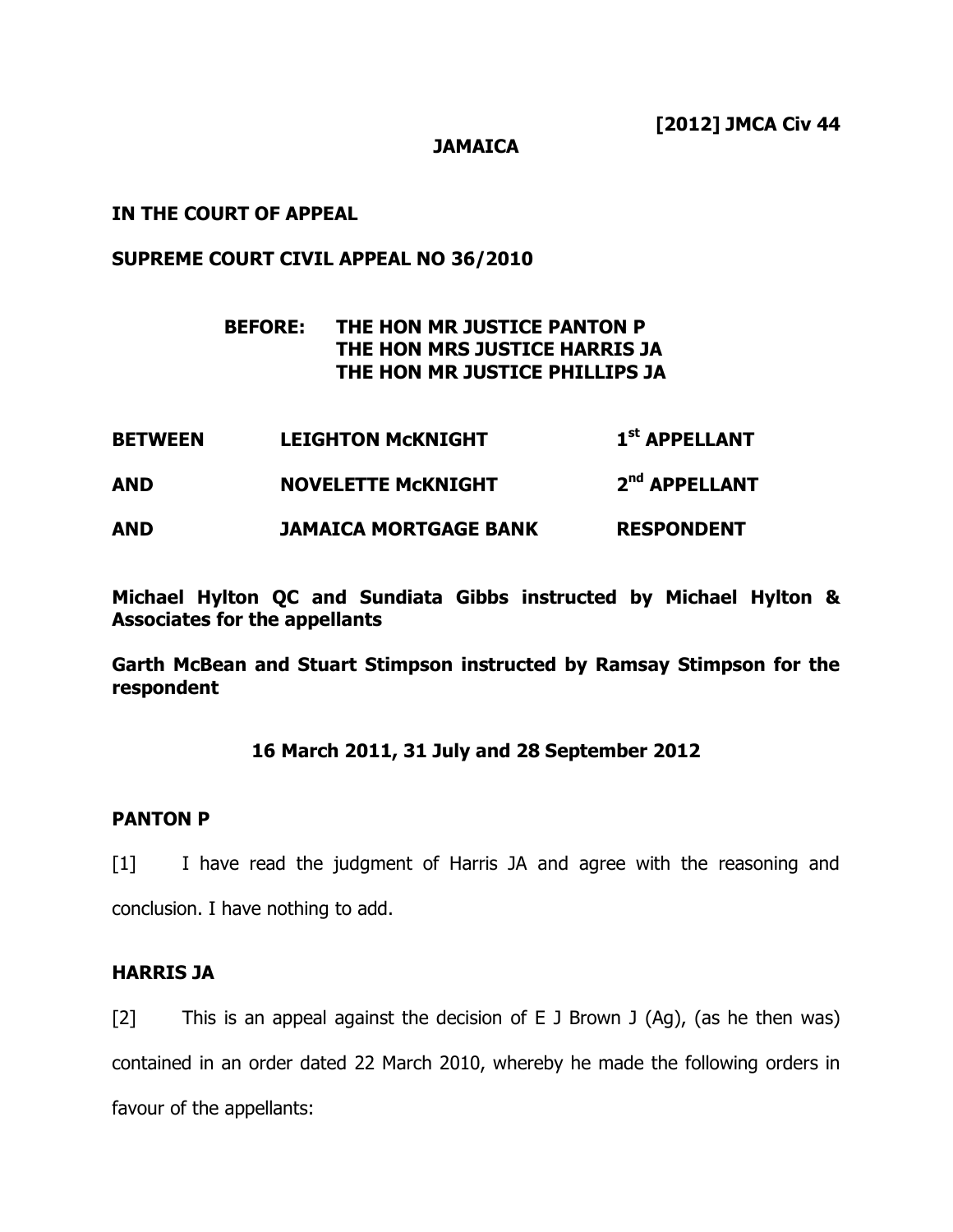**JAMAICA**

**IN THE COURT OF APPEAL**

## **SUPREME COURT CIVIL APPEAL NO 36/2010**

# **BEFORE: THE HON MR JUSTICE PANTON P THE HON MRS JUSTICE HARRIS JA THE HON MR JUSTICE PHILLIPS JA**

**BETWEEN LEIGHTON McKNIGHT 1 st APPELLANT AND NOVELETTE McKNIGHT 2 nd APPELLANT AND JAMAICA MORTGAGE BANK RESPONDENT**

**Michael Hylton QC and Sundiata Gibbs instructed by Michael Hylton & Associates for the appellants**

**Garth McBean and Stuart Stimpson instructed by Ramsay Stimpson for the respondent**

## **16 March 2011, 31 July and 28 September 2012**

#### **PANTON P**

[1] I have read the judgment of Harris JA and agree with the reasoning and conclusion. I have nothing to add.

## **HARRIS JA**

[2] This is an appeal against the decision of E J Brown J  $(Ag)$ , (as he then was) contained in an order dated 22 March 2010, whereby he made the following orders in favour of the appellants: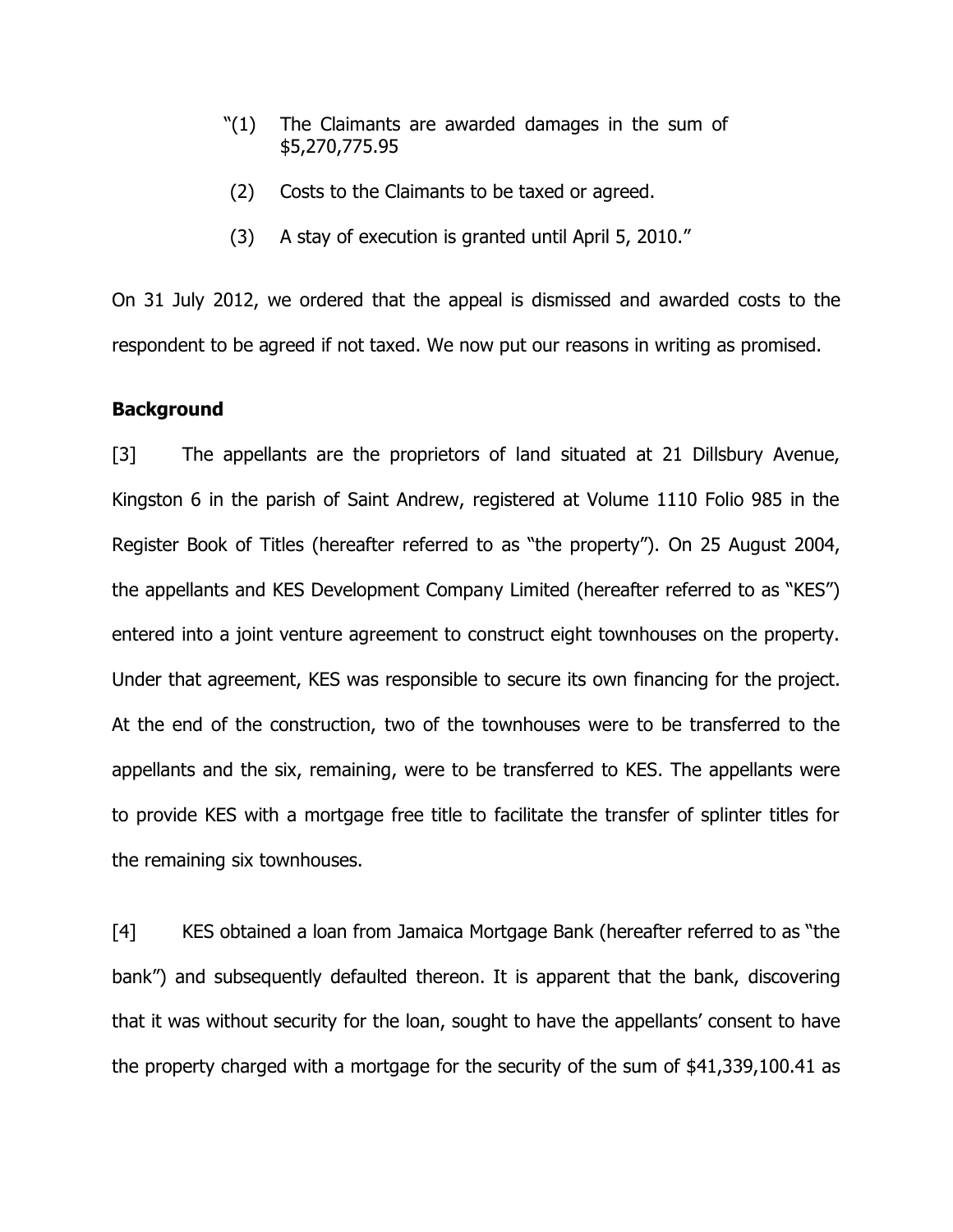- "(1) The Claimants are awarded damages in the sum of \$5,270,775.95
- (2) Costs to the Claimants to be taxed or agreed.
- (3) A stay of execution is granted until April 5, 2010."

On 31 July 2012, we ordered that the appeal is dismissed and awarded costs to the respondent to be agreed if not taxed. We now put our reasons in writing as promised.

#### **Background**

[3] The appellants are the proprietors of land situated at 21 Dillsbury Avenue, Kingston 6 in the parish of Saint Andrew, registered at Volume 1110 Folio 985 in the Register Book of Titles (hereafter referred to as "the property"). On 25 August 2004, the appellants and KES Development Company Limited (hereafter referred to as "KES") entered into a joint venture agreement to construct eight townhouses on the property. Under that agreement, KES was responsible to secure its own financing for the project. At the end of the construction, two of the townhouses were to be transferred to the appellants and the six, remaining, were to be transferred to KES. The appellants were to provide KES with a mortgage free title to facilitate the transfer of splinter titles for the remaining six townhouses.

[4] KES obtained a loan from Jamaica Mortgage Bank (hereafter referred to as "the bank") and subsequently defaulted thereon. It is apparent that the bank, discovering that it was without security for the loan, sought to have the appellants' consent to have the property charged with a mortgage for the security of the sum of \$41,339,100.41 as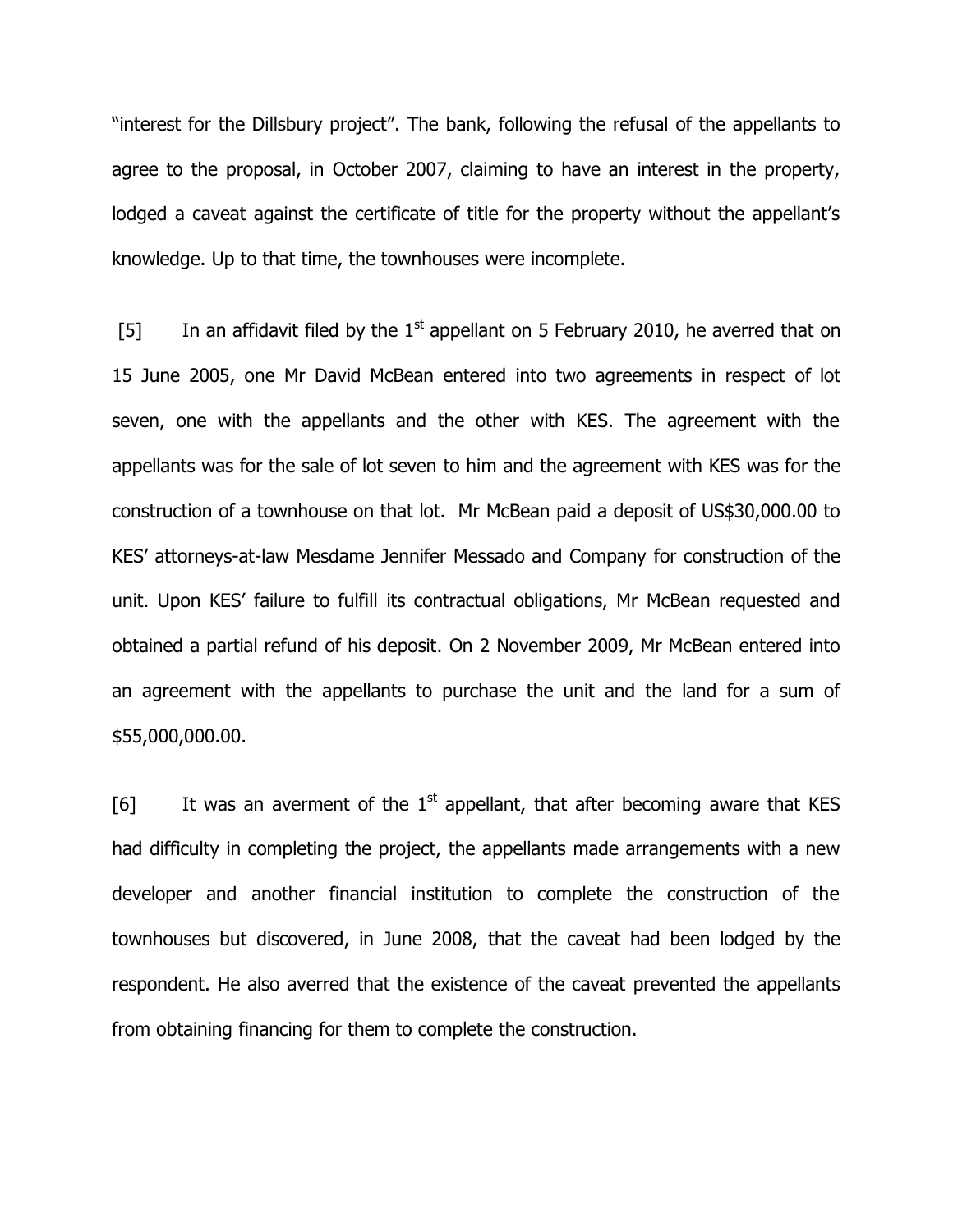"interest for the Dillsbury project". The bank, following the refusal of the appellants to agree to the proposal, in October 2007, claiming to have an interest in the property, lodged a caveat against the certificate of title for the property without the appellant's knowledge. Up to that time, the townhouses were incomplete.

[5] In an affidavit filed by the  $1<sup>st</sup>$  appellant on 5 February 2010, he averred that on 15 June 2005, one Mr David McBean entered into two agreements in respect of lot seven, one with the appellants and the other with KES. The agreement with the appellants was for the sale of lot seven to him and the agreement with KES was for the construction of a townhouse on that lot. Mr McBean paid a deposit of US\$30,000.00 to KES' attorneys-at-law Mesdame Jennifer Messado and Company for construction of the unit. Upon KES' failure to fulfill its contractual obligations, Mr McBean requested and obtained a partial refund of his deposit. On 2 November 2009, Mr McBean entered into an agreement with the appellants to purchase the unit and the land for a sum of \$55,000,000.00.

[6] It was an averment of the  $1<sup>st</sup>$  appellant, that after becoming aware that KES had difficulty in completing the project, the appellants made arrangements with a new developer and another financial institution to complete the construction of the townhouses but discovered, in June 2008, that the caveat had been lodged by the respondent. He also averred that the existence of the caveat prevented the appellants from obtaining financing for them to complete the construction.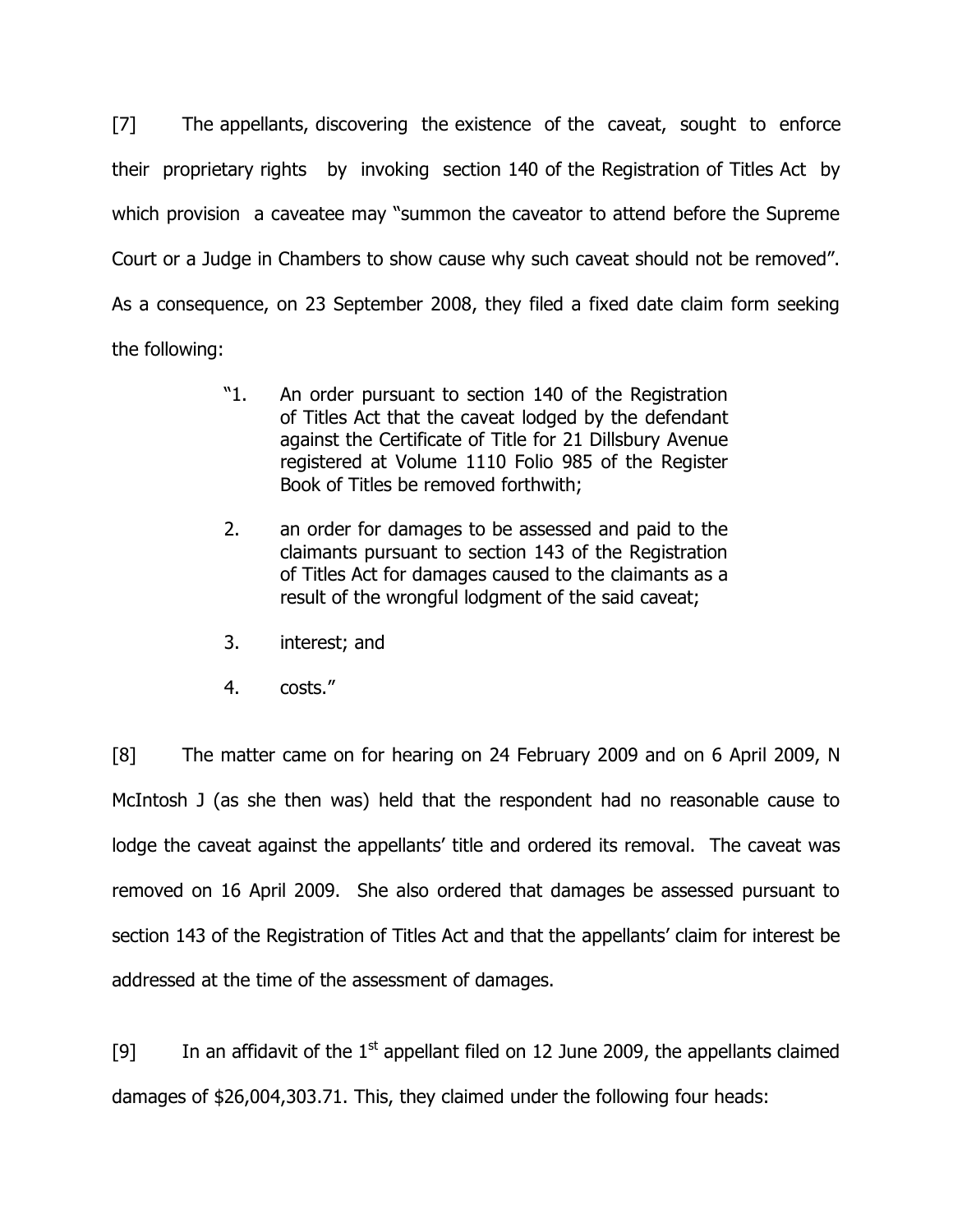[7] The appellants, discovering the existence of the caveat, sought to enforce their proprietary rights by invoking section 140 of the Registration of Titles Act by which provision a caveatee may "summon the caveator to attend before the Supreme Court or a Judge in Chambers to show cause why such caveat should not be removed". As a consequence, on 23 September 2008, they filed a fixed date claim form seeking the following:

- "1. An order pursuant to section 140 of the Registration of Titles Act that the caveat lodged by the defendant against the Certificate of Title for 21 Dillsbury Avenue registered at Volume 1110 Folio 985 of the Register Book of Titles be removed forthwith;
- 2. an order for damages to be assessed and paid to the claimants pursuant to section 143 of the Registration of Titles Act for damages caused to the claimants as a result of the wrongful lodgment of the said caveat;
- 3. interest; and
- 4. costs."

[8] The matter came on for hearing on 24 February 2009 and on 6 April 2009, N McIntosh J (as she then was) held that the respondent had no reasonable cause to lodge the caveat against the appellants' title and ordered its removal. The caveat was removed on 16 April 2009. She also ordered that damages be assessed pursuant to section 143 of the Registration of Titles Act and that the appellants' claim for interest be addressed at the time of the assessment of damages.

[9] In an affidavit of the  $1<sup>st</sup>$  appellant filed on 12 June 2009, the appellants claimed damages of \$26,004,303.71. This, they claimed under the following four heads: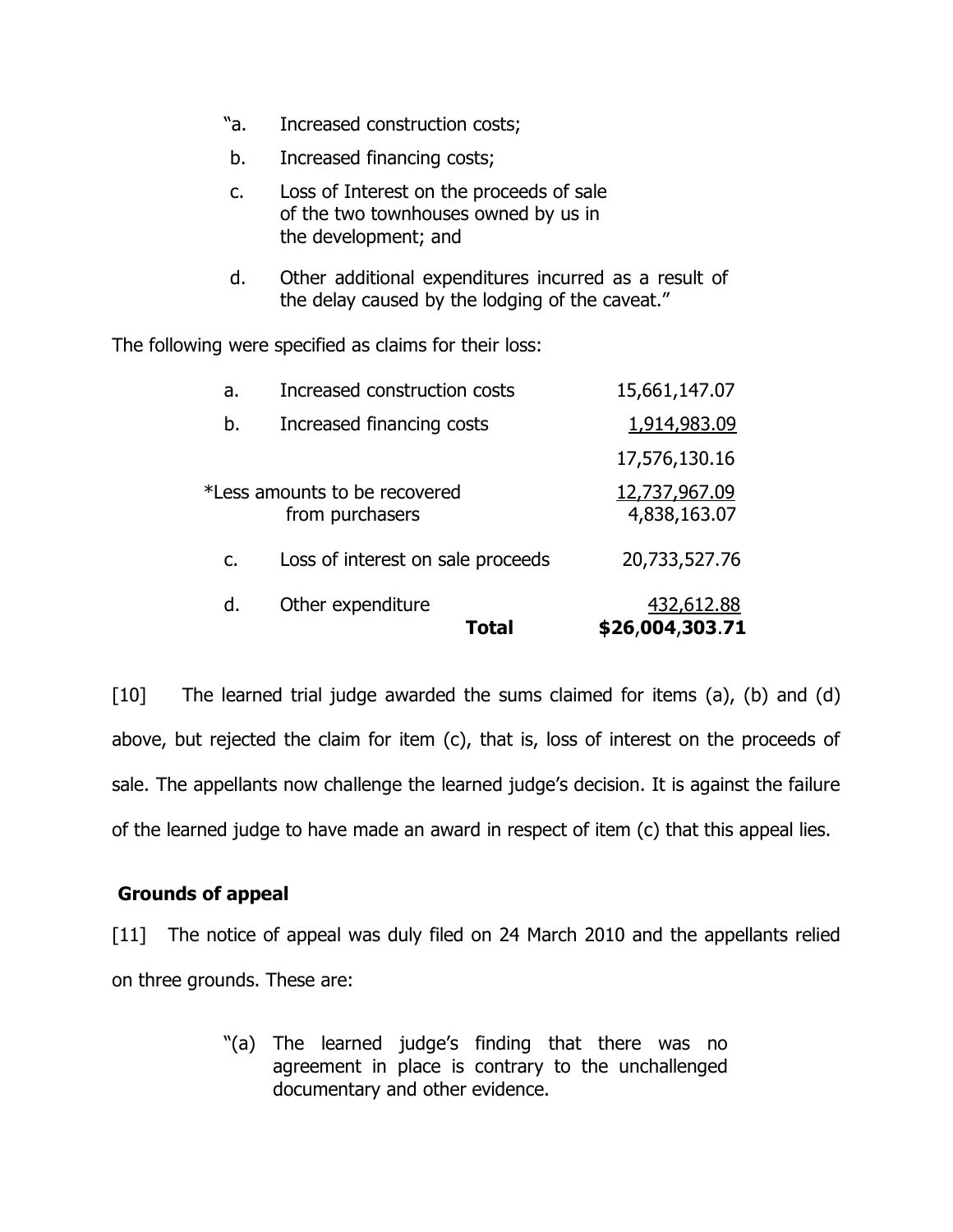- "a. Increased construction costs;
- b. Increased financing costs;
- c. Loss of Interest on the proceeds of sale of the two townhouses owned by us in the development; and
- d. Other additional expenditures incurred as a result of the delay caused by the lodging of the caveat."

The following were specified as claims for their loss:

|                | Total                                            | \$26,004,303.71               |
|----------------|--------------------------------------------------|-------------------------------|
| d.             | Other expenditure                                | 432,612.88                    |
| $\mathsf{C}$ . | Loss of interest on sale proceeds                | 20,733,527.76                 |
|                | *Less amounts to be recovered<br>from purchasers | 12,737,967.09<br>4,838,163.07 |
|                |                                                  | 17,576,130.16                 |
| b.             | Increased financing costs                        | 1,914,983.09                  |
| a.             | Increased construction costs                     | 15,661,147.07                 |

[10] The learned trial judge awarded the sums claimed for items (a), (b) and (d) above, but rejected the claim for item (c), that is, loss of interest on the proceeds of sale. The appellants now challenge the learned judge's decision. It is against the failure of the learned judge to have made an award in respect of item (c) that this appeal lies.

# **Grounds of appeal**

[11] The notice of appeal was duly filed on 24 March 2010 and the appellants relied on three grounds. These are:

> "(a) The learned judge's finding that there was no agreement in place is contrary to the unchallenged documentary and other evidence.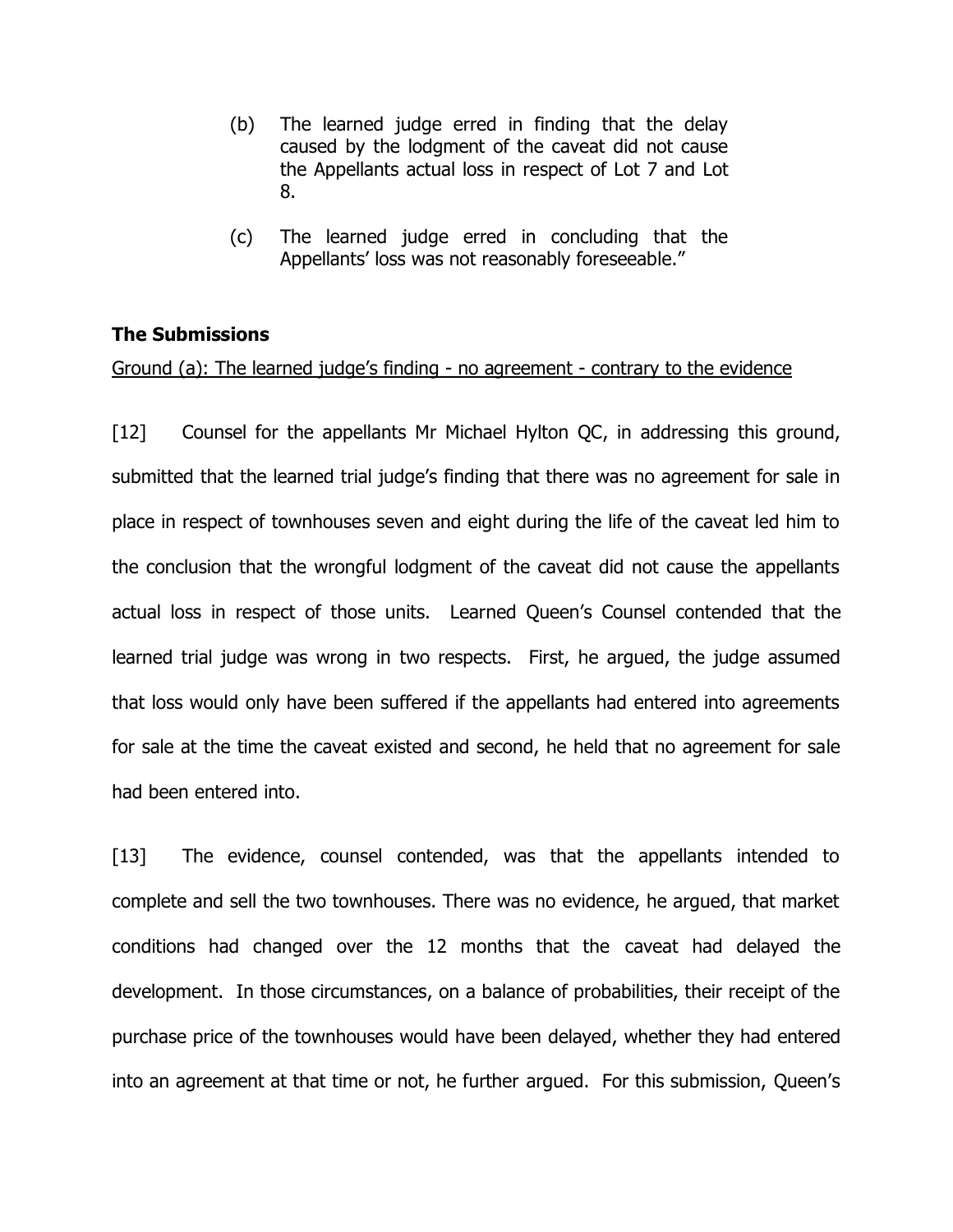- (b) The learned judge erred in finding that the delay caused by the lodgment of the caveat did not cause the Appellants actual loss in respect of Lot 7 and Lot 8.
- (c) The learned judge erred in concluding that the Appellants' loss was not reasonably foreseeable."

## **The Submissions**

#### Ground (a): The learned judge's finding - no agreement - contrary to the evidence

[12] Counsel for the appellants Mr Michael Hylton QC, in addressing this ground, submitted that the learned trial judge's finding that there was no agreement for sale in place in respect of townhouses seven and eight during the life of the caveat led him to the conclusion that the wrongful lodgment of the caveat did not cause the appellants actual loss in respect of those units. Learned Queen's Counsel contended that the learned trial judge was wrong in two respects. First, he argued, the judge assumed that loss would only have been suffered if the appellants had entered into agreements for sale at the time the caveat existed and second, he held that no agreement for sale had been entered into.

[13] The evidence, counsel contended, was that the appellants intended to complete and sell the two townhouses. There was no evidence, he argued, that market conditions had changed over the 12 months that the caveat had delayed the development. In those circumstances, on a balance of probabilities, their receipt of the purchase price of the townhouses would have been delayed, whether they had entered into an agreement at that time or not, he further argued. For this submission, Queen's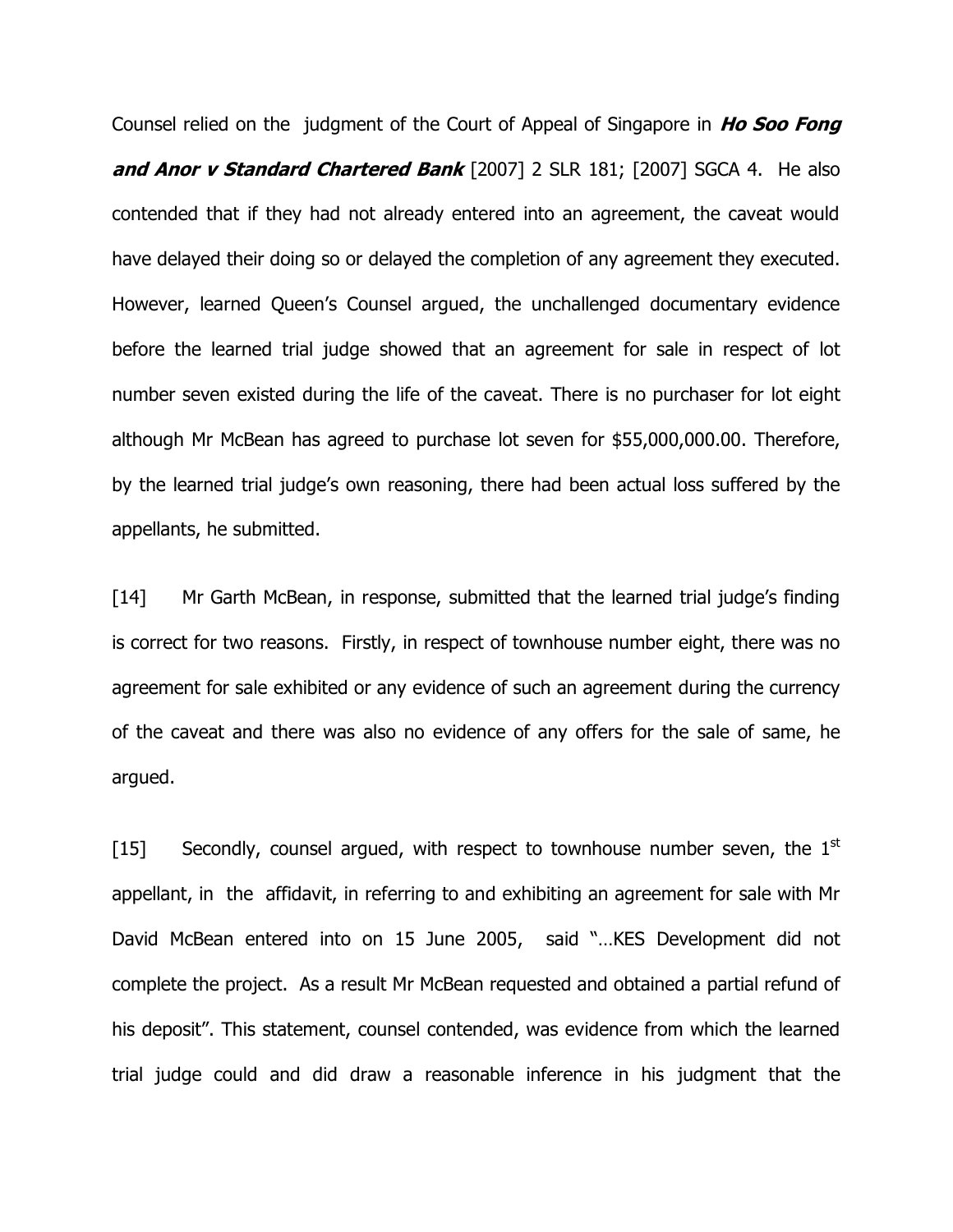Counsel relied on the judgment of the Court of Appeal of Singapore in **Ho Soo Fong and Anor v Standard Chartered Bank** [2007] 2 SLR 181; [2007] SGCA 4. He also contended that if they had not already entered into an agreement, the caveat would have delayed their doing so or delayed the completion of any agreement they executed. However, learned Queen's Counsel argued, the unchallenged documentary evidence before the learned trial judge showed that an agreement for sale in respect of lot number seven existed during the life of the caveat. There is no purchaser for lot eight although Mr McBean has agreed to purchase lot seven for \$55,000,000.00. Therefore, by the learned trial judge's own reasoning, there had been actual loss suffered by the appellants, he submitted.

[14] Mr Garth McBean, in response, submitted that the learned trial judge's finding is correct for two reasons. Firstly, in respect of townhouse number eight, there was no agreement for sale exhibited or any evidence of such an agreement during the currency of the caveat and there was also no evidence of any offers for the sale of same, he argued.

[15] Secondly, counsel argued, with respect to townhouse number seven, the  $1<sup>st</sup>$ appellant, in the affidavit, in referring to and exhibiting an agreement for sale with Mr David McBean entered into on 15 June 2005, said "…KES Development did not complete the project. As a result Mr McBean requested and obtained a partial refund of his deposit". This statement, counsel contended, was evidence from which the learned trial judge could and did draw a reasonable inference in his judgment that the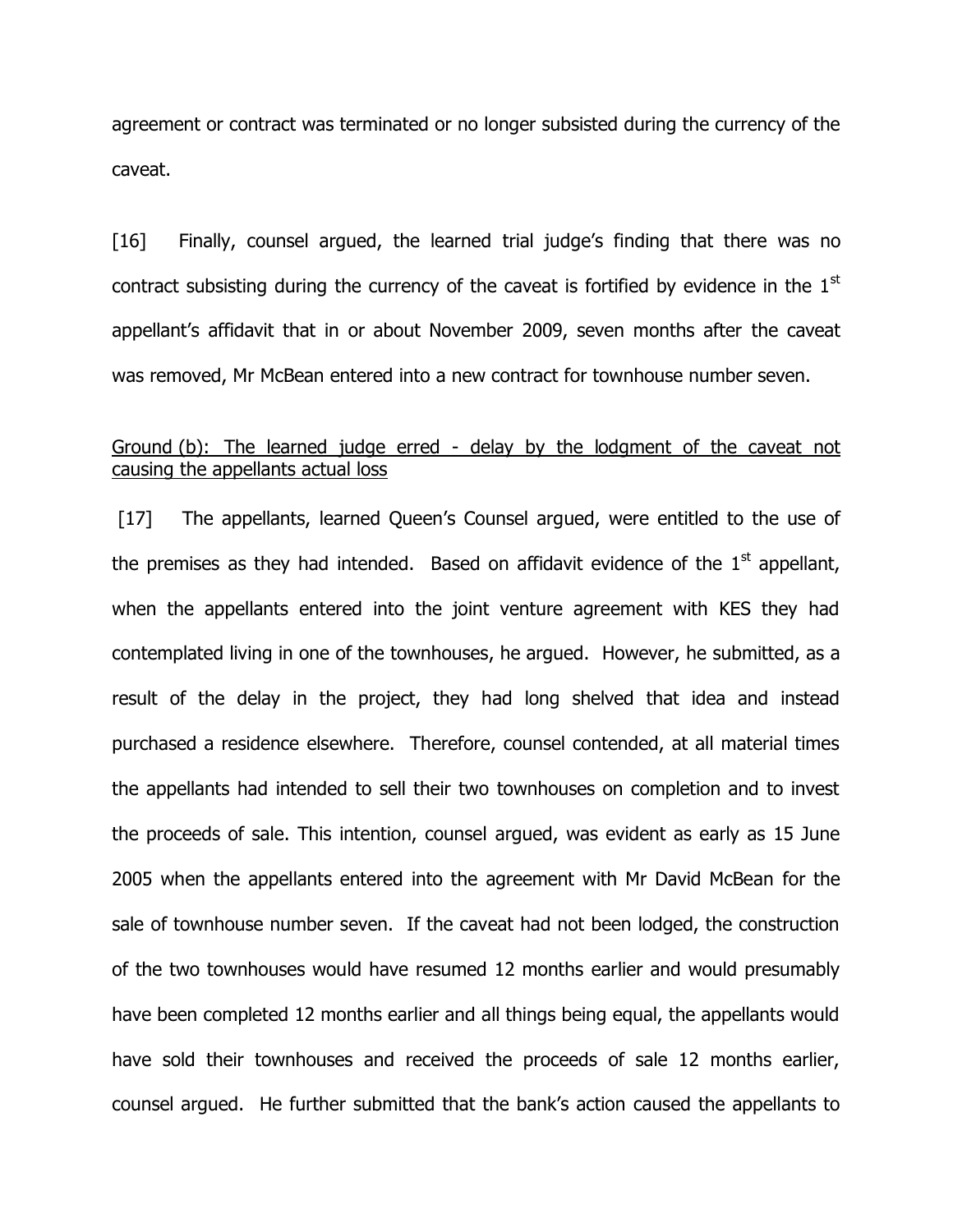agreement or contract was terminated or no longer subsisted during the currency of the caveat.

[16] Finally, counsel argued, the learned trial judge's finding that there was no contract subsisting during the currency of the caveat is fortified by evidence in the 1<sup>st</sup> appellant's affidavit that in or about November 2009, seven months after the caveat was removed, Mr McBean entered into a new contract for townhouse number seven.

## Ground (b): The learned judge erred - delay by the lodgment of the caveat not causing the appellants actual loss

[17] The appellants, learned Queen's Counsel argued, were entitled to the use of the premises as they had intended. Based on affidavit evidence of the  $1<sup>st</sup>$  appellant, when the appellants entered into the joint venture agreement with KES they had contemplated living in one of the townhouses, he argued. However, he submitted, as a result of the delay in the project, they had long shelved that idea and instead purchased a residence elsewhere. Therefore, counsel contended, at all material times the appellants had intended to sell their two townhouses on completion and to invest the proceeds of sale. This intention, counsel argued, was evident as early as 15 June 2005 when the appellants entered into the agreement with Mr David McBean for the sale of townhouse number seven. If the caveat had not been lodged, the construction of the two townhouses would have resumed 12 months earlier and would presumably have been completed 12 months earlier and all things being equal, the appellants would have sold their townhouses and received the proceeds of sale 12 months earlier, counsel argued. He further submitted that the bank's action caused the appellants to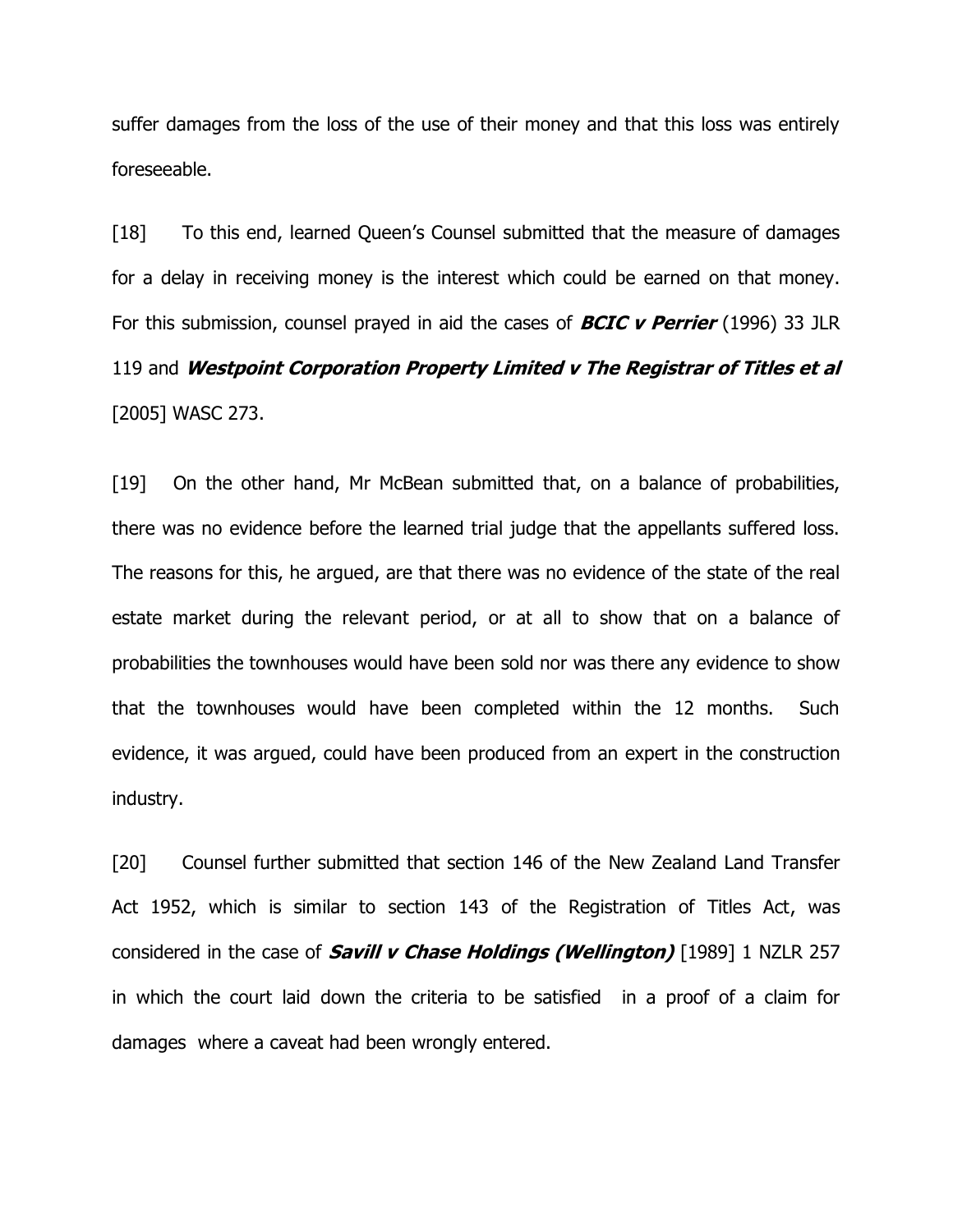suffer damages from the loss of the use of their money and that this loss was entirely foreseeable.

[18] To this end, learned Queen's Counsel submitted that the measure of damages for a delay in receiving money is the interest which could be earned on that money. For this submission, counsel prayed in aid the cases of **BCIC v Perrier** (1996) 33 JLR 119 and **Westpoint Corporation Property Limited v The Registrar of Titles et al** [2005] WASC 273.

[19] On the other hand, Mr McBean submitted that, on a balance of probabilities, there was no evidence before the learned trial judge that the appellants suffered loss. The reasons for this, he argued, are that there was no evidence of the state of the real estate market during the relevant period, or at all to show that on a balance of probabilities the townhouses would have been sold nor was there any evidence to show that the townhouses would have been completed within the 12 months. Such evidence, it was argued, could have been produced from an expert in the construction industry.

[20] Counsel further submitted that section 146 of the New Zealand Land Transfer Act 1952, which is similar to section 143 of the Registration of Titles Act, was considered in the case of **Savill v Chase Holdings (Wellington)** [1989] 1 NZLR 257 in which the court laid down the criteria to be satisfied in a proof of a claim for damages where a caveat had been wrongly entered.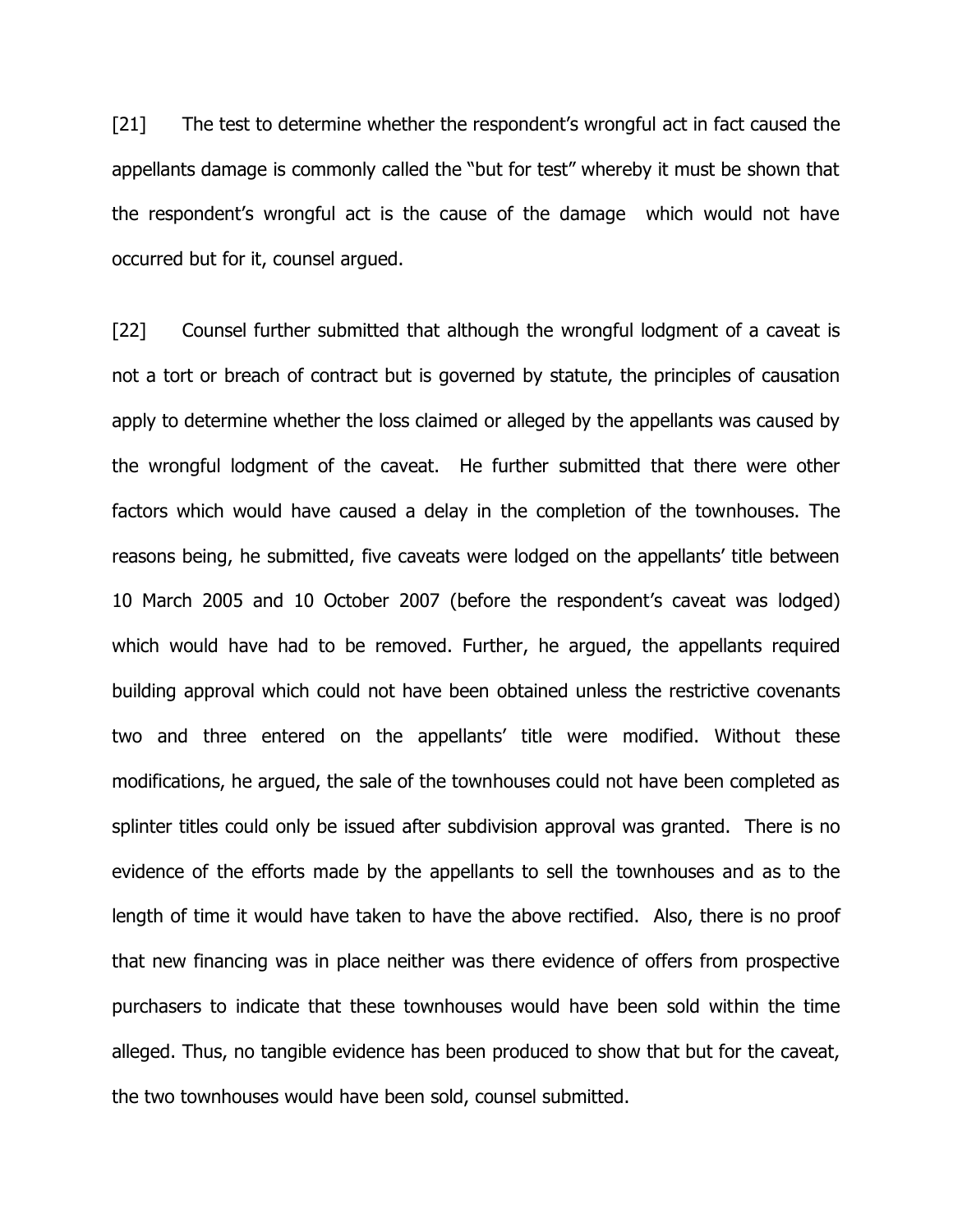[21] The test to determine whether the respondent's wrongful act in fact caused the appellants damage is commonly called the "but for test" whereby it must be shown that the respondent's wrongful act is the cause of the damage which would not have occurred but for it, counsel argued.

[22] Counsel further submitted that although the wrongful lodgment of a caveat is not a tort or breach of contract but is governed by statute, the principles of causation apply to determine whether the loss claimed or alleged by the appellants was caused by the wrongful lodgment of the caveat. He further submitted that there were other factors which would have caused a delay in the completion of the townhouses. The reasons being, he submitted, five caveats were lodged on the appellants' title between 10 March 2005 and 10 October 2007 (before the respondent's caveat was lodged) which would have had to be removed. Further, he argued, the appellants required building approval which could not have been obtained unless the restrictive covenants two and three entered on the appellants' title were modified. Without these modifications, he argued, the sale of the townhouses could not have been completed as splinter titles could only be issued after subdivision approval was granted. There is no evidence of the efforts made by the appellants to sell the townhouses and as to the length of time it would have taken to have the above rectified. Also, there is no proof that new financing was in place neither was there evidence of offers from prospective purchasers to indicate that these townhouses would have been sold within the time alleged. Thus, no tangible evidence has been produced to show that but for the caveat, the two townhouses would have been sold, counsel submitted.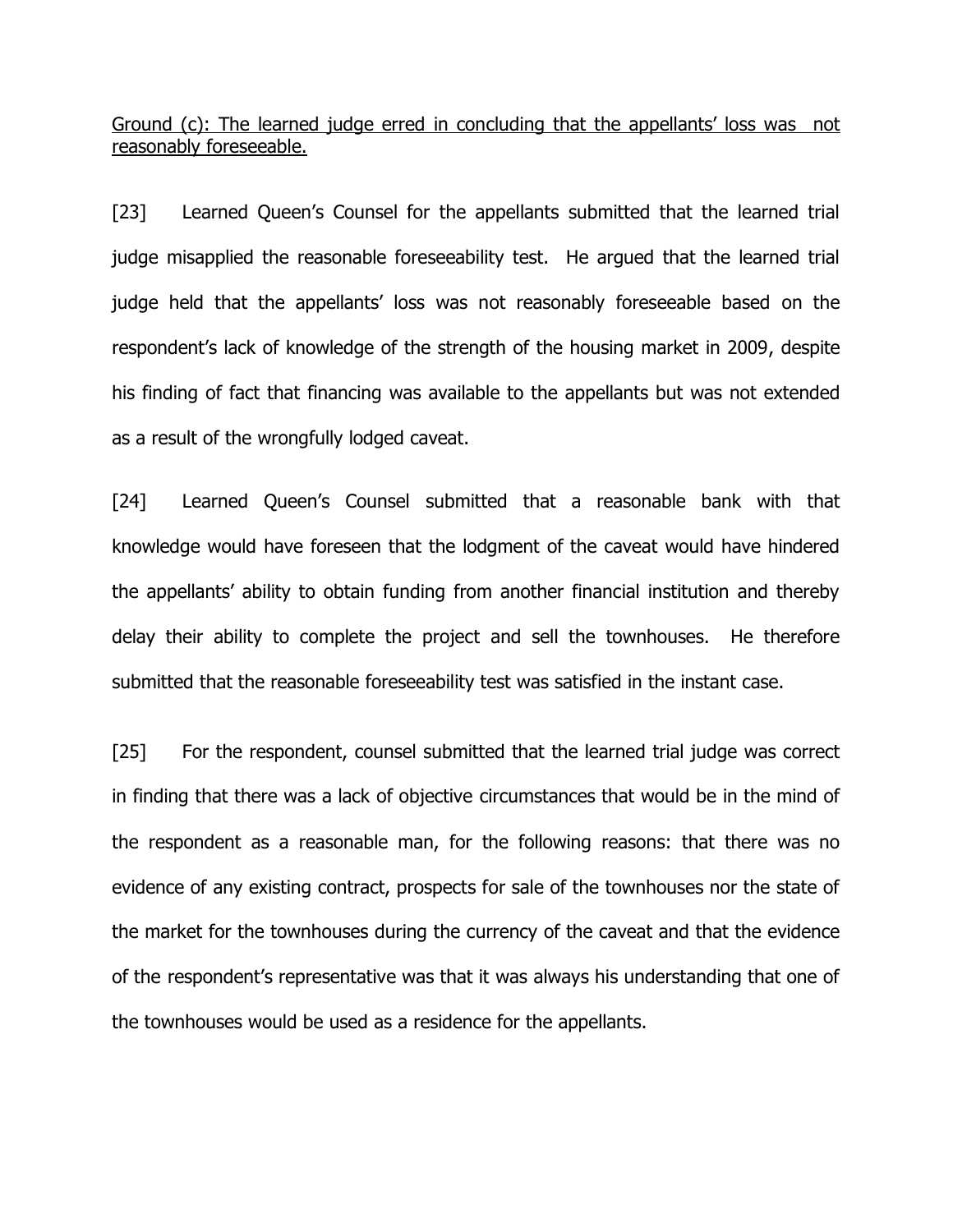Ground (c): The learned judge erred in concluding that the appellants' loss was not reasonably foreseeable.

[23] Learned Queen's Counsel for the appellants submitted that the learned trial judge misapplied the reasonable foreseeability test. He argued that the learned trial judge held that the appellants' loss was not reasonably foreseeable based on the respondent's lack of knowledge of the strength of the housing market in 2009, despite his finding of fact that financing was available to the appellants but was not extended as a result of the wrongfully lodged caveat.

[24] Learned Queen's Counsel submitted that a reasonable bank with that knowledge would have foreseen that the lodgment of the caveat would have hindered the appellants' ability to obtain funding from another financial institution and thereby delay their ability to complete the project and sell the townhouses. He therefore submitted that the reasonable foreseeability test was satisfied in the instant case.

[25] For the respondent, counsel submitted that the learned trial judge was correct in finding that there was a lack of objective circumstances that would be in the mind of the respondent as a reasonable man, for the following reasons: that there was no evidence of any existing contract, prospects for sale of the townhouses nor the state of the market for the townhouses during the currency of the caveat and that the evidence of the respondent's representative was that it was always his understanding that one of the townhouses would be used as a residence for the appellants.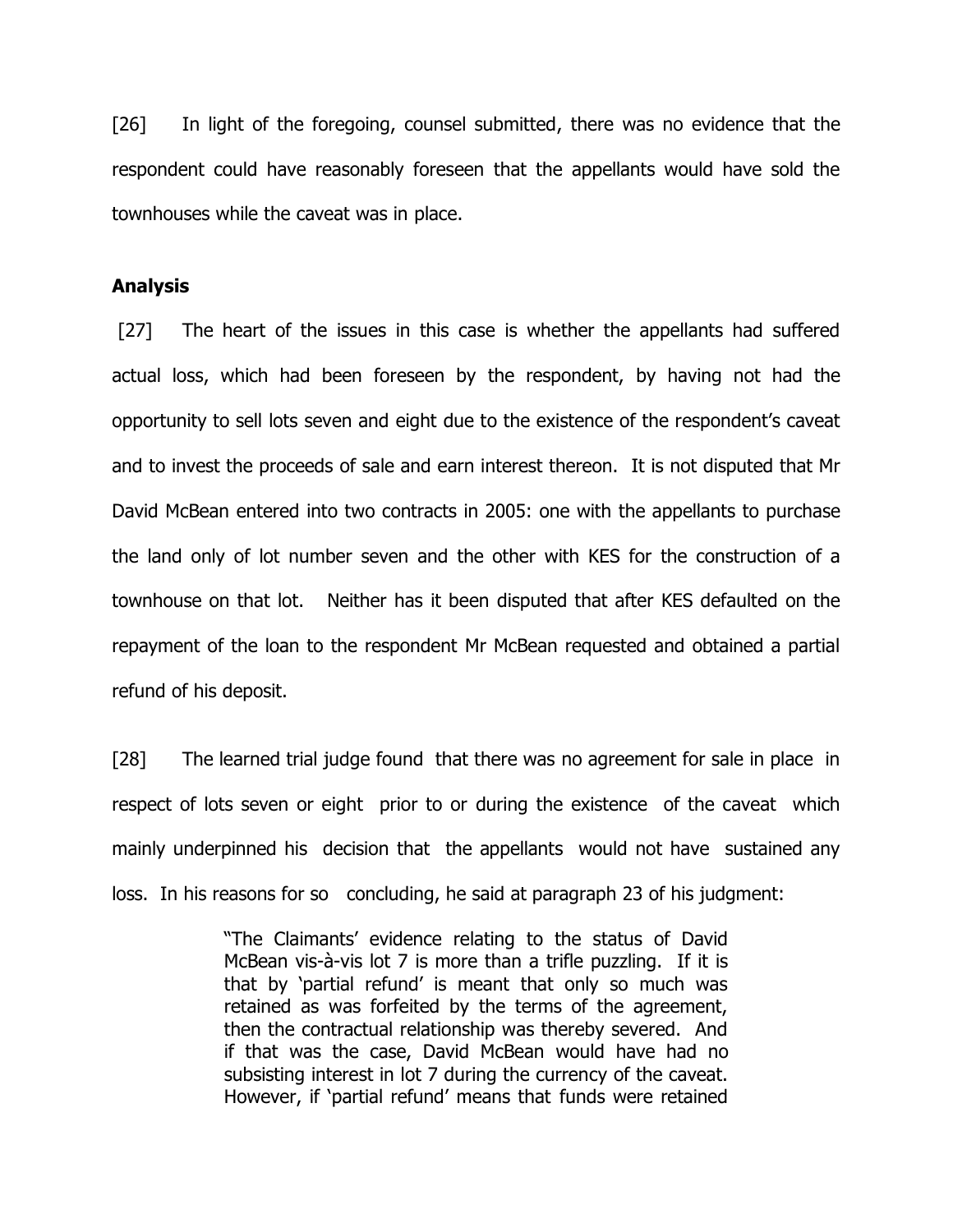[26] In light of the foregoing, counsel submitted, there was no evidence that the respondent could have reasonably foreseen that the appellants would have sold the townhouses while the caveat was in place.

#### **Analysis**

[27] The heart of the issues in this case is whether the appellants had suffered actual loss, which had been foreseen by the respondent, by having not had the opportunity to sell lots seven and eight due to the existence of the respondent's caveat and to invest the proceeds of sale and earn interest thereon. It is not disputed that Mr David McBean entered into two contracts in 2005: one with the appellants to purchase the land only of lot number seven and the other with KES for the construction of a townhouse on that lot. Neither has it been disputed that after KES defaulted on the repayment of the loan to the respondent Mr McBean requested and obtained a partial refund of his deposit.

[28] The learned trial judge found that there was no agreement for sale in place in respect of lots seven or eight prior to or during the existence of the caveat which mainly underpinned his decision that the appellants would not have sustained any loss. In his reasons for so concluding, he said at paragraph 23 of his judgment:

> "The Claimants' evidence relating to the status of David McBean vis-à-vis lot 7 is more than a trifle puzzling. If it is that by 'partial refund' is meant that only so much was retained as was forfeited by the terms of the agreement, then the contractual relationship was thereby severed. And if that was the case, David McBean would have had no subsisting interest in lot 7 during the currency of the caveat. However, if 'partial refund' means that funds were retained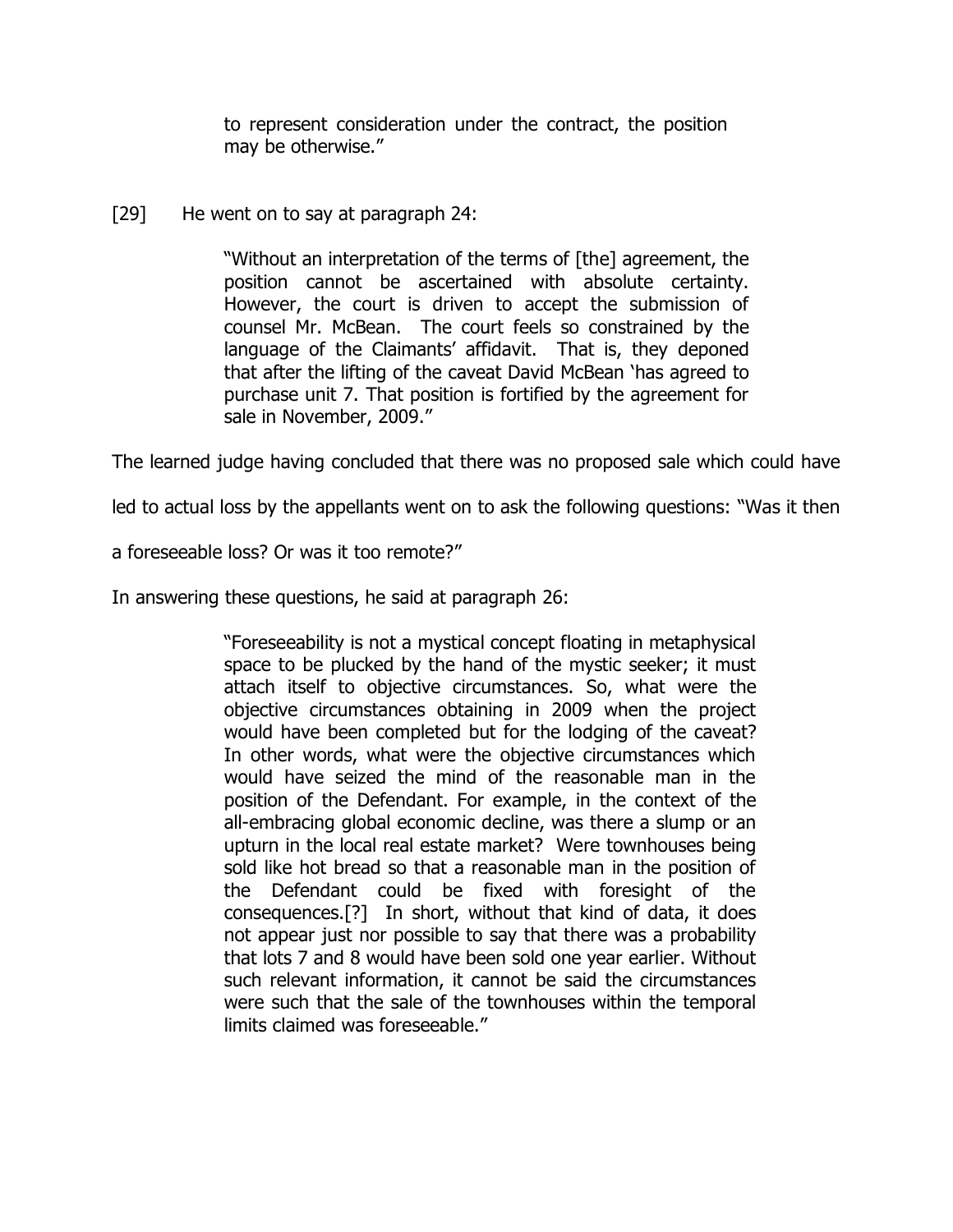to represent consideration under the contract, the position may be otherwise."

[29] He went on to say at paragraph 24:

"Without an interpretation of the terms of [the] agreement, the position cannot be ascertained with absolute certainty. However, the court is driven to accept the submission of counsel Mr. McBean. The court feels so constrained by the language of the Claimants' affidavit. That is, they deponed that after the lifting of the caveat David McBean 'has agreed to purchase unit 7. That position is fortified by the agreement for sale in November, 2009."

The learned judge having concluded that there was no proposed sale which could have

led to actual loss by the appellants went on to ask the following questions: "Was it then

a foreseeable loss? Or was it too remote?"

In answering these questions, he said at paragraph 26:

"Foreseeability is not a mystical concept floating in metaphysical space to be plucked by the hand of the mystic seeker; it must attach itself to objective circumstances. So, what were the objective circumstances obtaining in 2009 when the project would have been completed but for the lodging of the caveat? In other words, what were the objective circumstances which would have seized the mind of the reasonable man in the position of the Defendant. For example, in the context of the all-embracing global economic decline, was there a slump or an upturn in the local real estate market? Were townhouses being sold like hot bread so that a reasonable man in the position of the Defendant could be fixed with foresight of the consequences.[?] In short, without that kind of data, it does not appear just nor possible to say that there was a probability that lots 7 and 8 would have been sold one year earlier. Without such relevant information, it cannot be said the circumstances were such that the sale of the townhouses within the temporal limits claimed was foreseeable."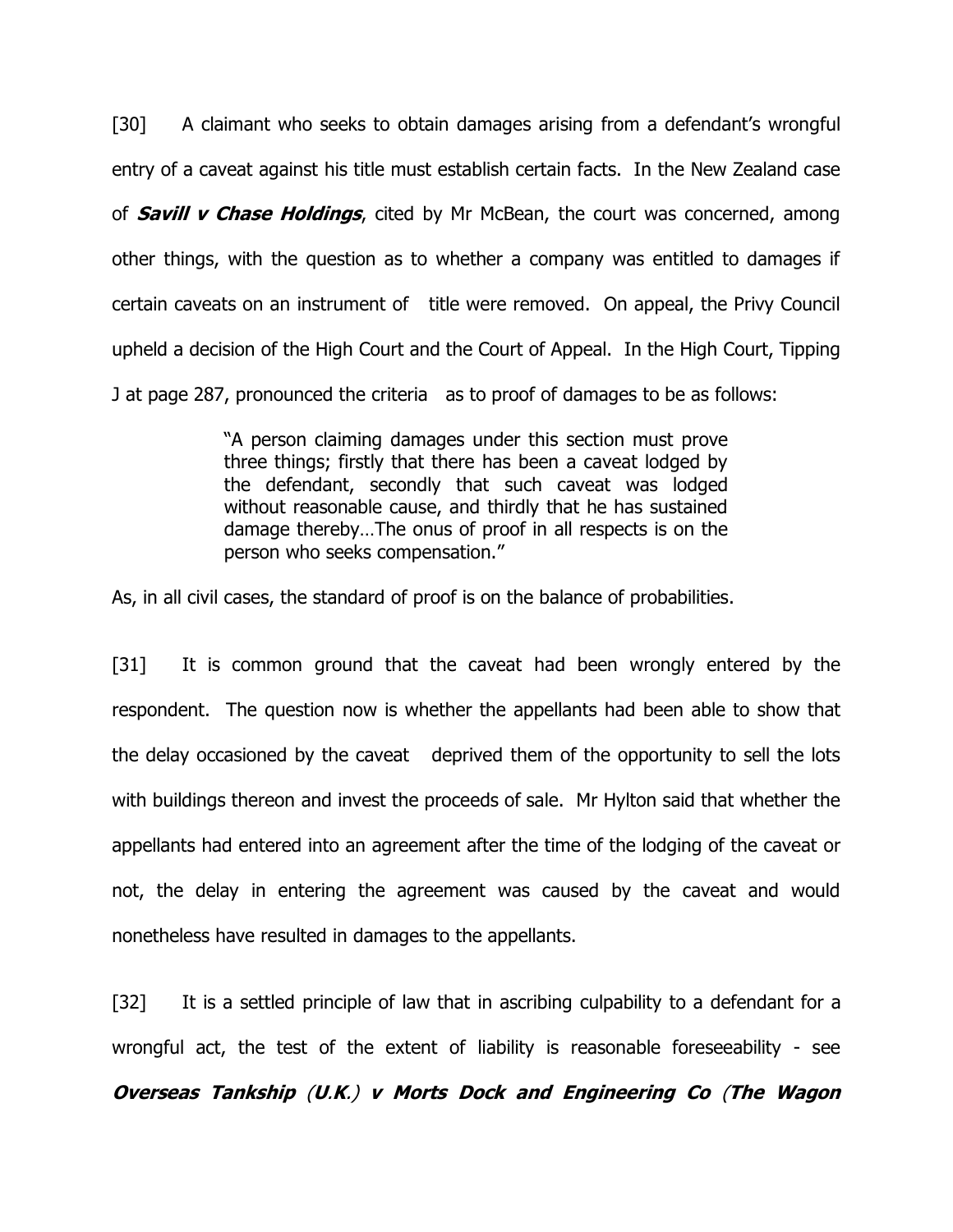[30] A claimant who seeks to obtain damages arising from a defendant's wrongful entry of a caveat against his title must establish certain facts. In the New Zealand case of **Savill v Chase Holdings**, cited by Mr McBean, the court was concerned, among other things, with the question as to whether a company was entitled to damages if certain caveats on an instrument of title were removed. On appeal, the Privy Council upheld a decision of the High Court and the Court of Appeal. In the High Court, Tipping J at page 287, pronounced the criteria as to proof of damages to be as follows:

> "A person claiming damages under this section must prove three things; firstly that there has been a caveat lodged by the defendant, secondly that such caveat was lodged without reasonable cause, and thirdly that he has sustained damage thereby…The onus of proof in all respects is on the person who seeks compensation."

As, in all civil cases, the standard of proof is on the balance of probabilities.

[31] It is common ground that the caveat had been wrongly entered by the respondent. The question now is whether the appellants had been able to show that the delay occasioned by the caveat deprived them of the opportunity to sell the lots with buildings thereon and invest the proceeds of sale. Mr Hylton said that whether the appellants had entered into an agreement after the time of the lodging of the caveat or not, the delay in entering the agreement was caused by the caveat and would nonetheless have resulted in damages to the appellants.

[32] It is a settled principle of law that in ascribing culpability to a defendant for a wrongful act, the test of the extent of liability is reasonable foreseeability - see

**Overseas Tankship** (**U**.**K**.) **v Morts Dock and Engineering Co** (**The Wagon**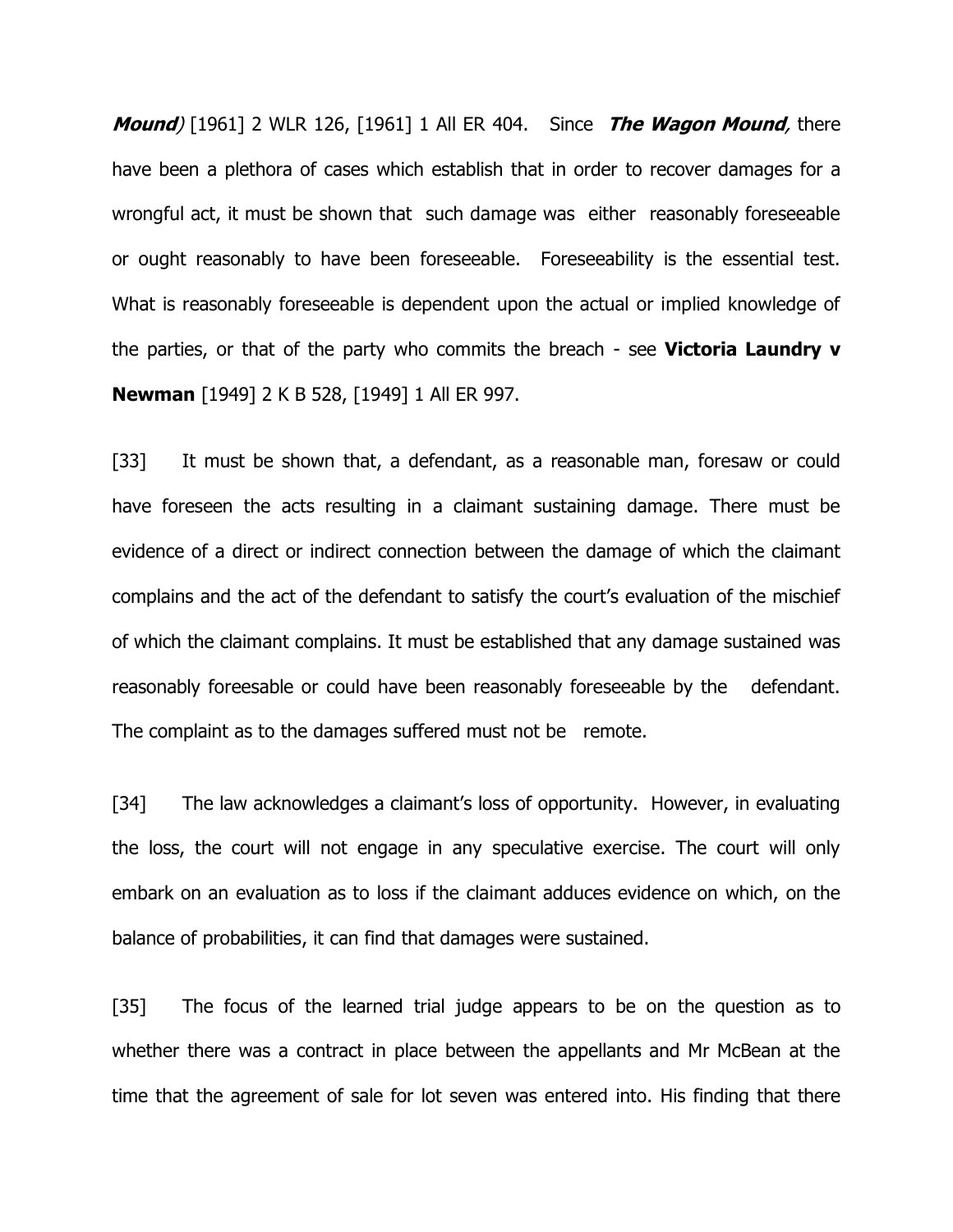**Mound**) [1961] 2 WLR 126, [1961] 1 All ER 404. Since **The Wagon Mound**, there have been a plethora of cases which establish that in order to recover damages for a wrongful act, it must be shown that such damage was either reasonably foreseeable or ought reasonably to have been foreseeable. Foreseeability is the essential test. What is reasonably foreseeable is dependent upon the actual or implied knowledge of the parties, or that of the party who commits the breach - see **Victoria Laundry v Newman** [1949] 2 K B 528, [1949] 1 All ER 997.

[33] It must be shown that, a defendant, as a reasonable man, foresaw or could have foreseen the acts resulting in a claimant sustaining damage. There must be evidence of a direct or indirect connection between the damage of which the claimant complains and the act of the defendant to satisfy the court's evaluation of the mischief of which the claimant complains. It must be established that any damage sustained was reasonably foreesable or could have been reasonably foreseeable by the defendant. The complaint as to the damages suffered must not be remote.

[34] The law acknowledges a claimant's loss of opportunity. However, in evaluating the loss, the court will not engage in any speculative exercise. The court will only embark on an evaluation as to loss if the claimant adduces evidence on which, on the balance of probabilities, it can find that damages were sustained.

[35] The focus of the learned trial judge appears to be on the question as to whether there was a contract in place between the appellants and Mr McBean at the time that the agreement of sale for lot seven was entered into. His finding that there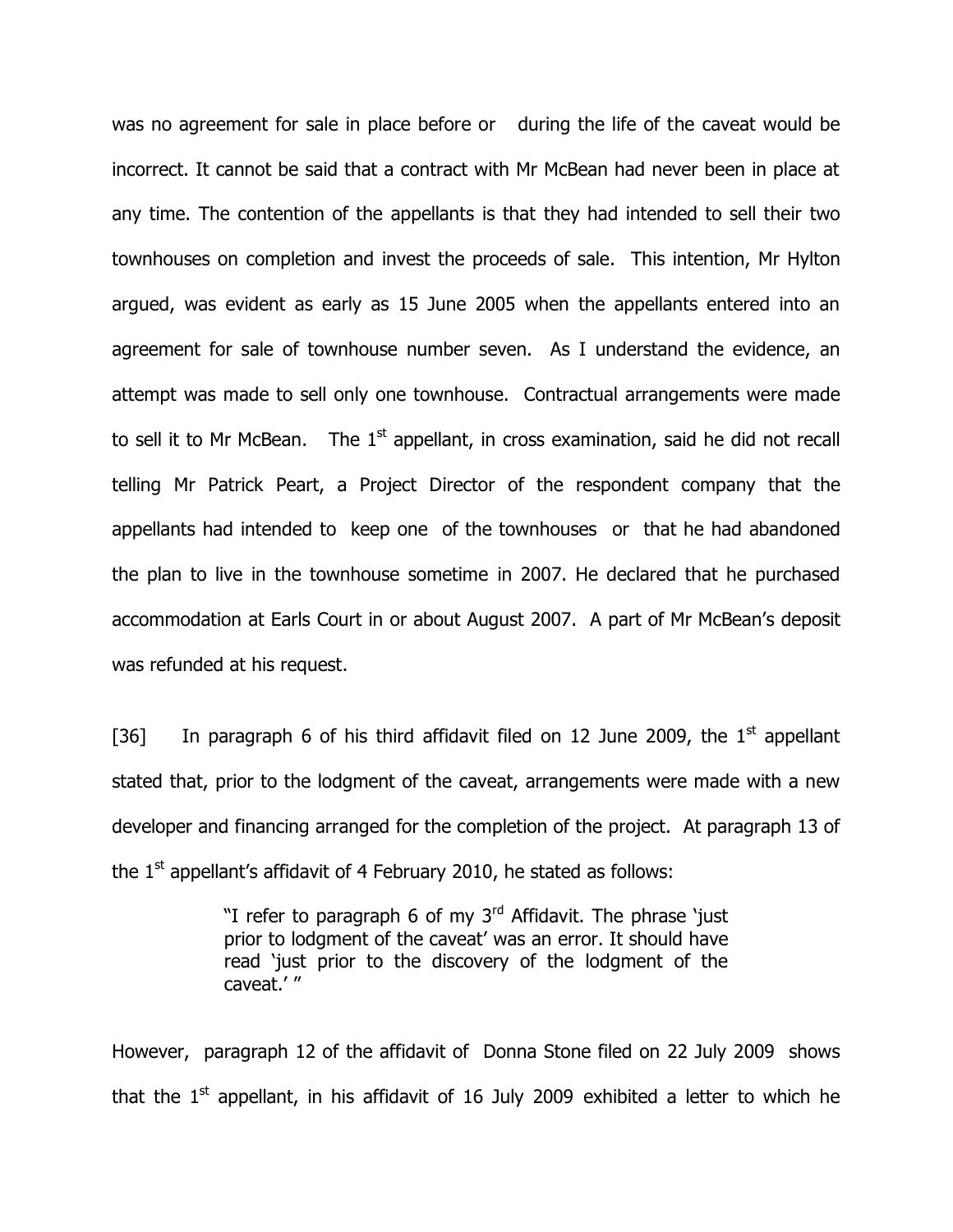was no agreement for sale in place before or during the life of the caveat would be incorrect. It cannot be said that a contract with Mr McBean had never been in place at any time. The contention of the appellants is that they had intended to sell their two townhouses on completion and invest the proceeds of sale. This intention, Mr Hylton argued, was evident as early as 15 June 2005 when the appellants entered into an agreement for sale of townhouse number seven. As I understand the evidence, an attempt was made to sell only one townhouse. Contractual arrangements were made to sell it to Mr McBean. The 1<sup>st</sup> appellant, in cross examination, said he did not recall telling Mr Patrick Peart, a Project Director of the respondent company that the appellants had intended to keep one of the townhouses or that he had abandoned the plan to live in the townhouse sometime in 2007. He declared that he purchased accommodation at Earls Court in or about August 2007. A part of Mr McBean's deposit was refunded at his request.

[36] In paragraph 6 of his third affidavit filed on 12 June 2009, the  $1<sup>st</sup>$  appellant stated that, prior to the lodgment of the caveat, arrangements were made with a new developer and financing arranged for the completion of the project. At paragraph 13 of the  $1<sup>st</sup>$  appellant's affidavit of 4 February 2010, he stated as follows:

> "I refer to paragraph 6 of my  $3<sup>rd</sup>$  Affidavit. The phrase 'just prior to lodgment of the caveat' was an error. It should have read 'just prior to the discovery of the lodgment of the caveat.' "

However, paragraph 12 of the affidavit of Donna Stone filed on 22 July 2009 shows that the  $1^\text{st}$  appellant, in his affidavit of 16 July 2009 exhibited a letter to which he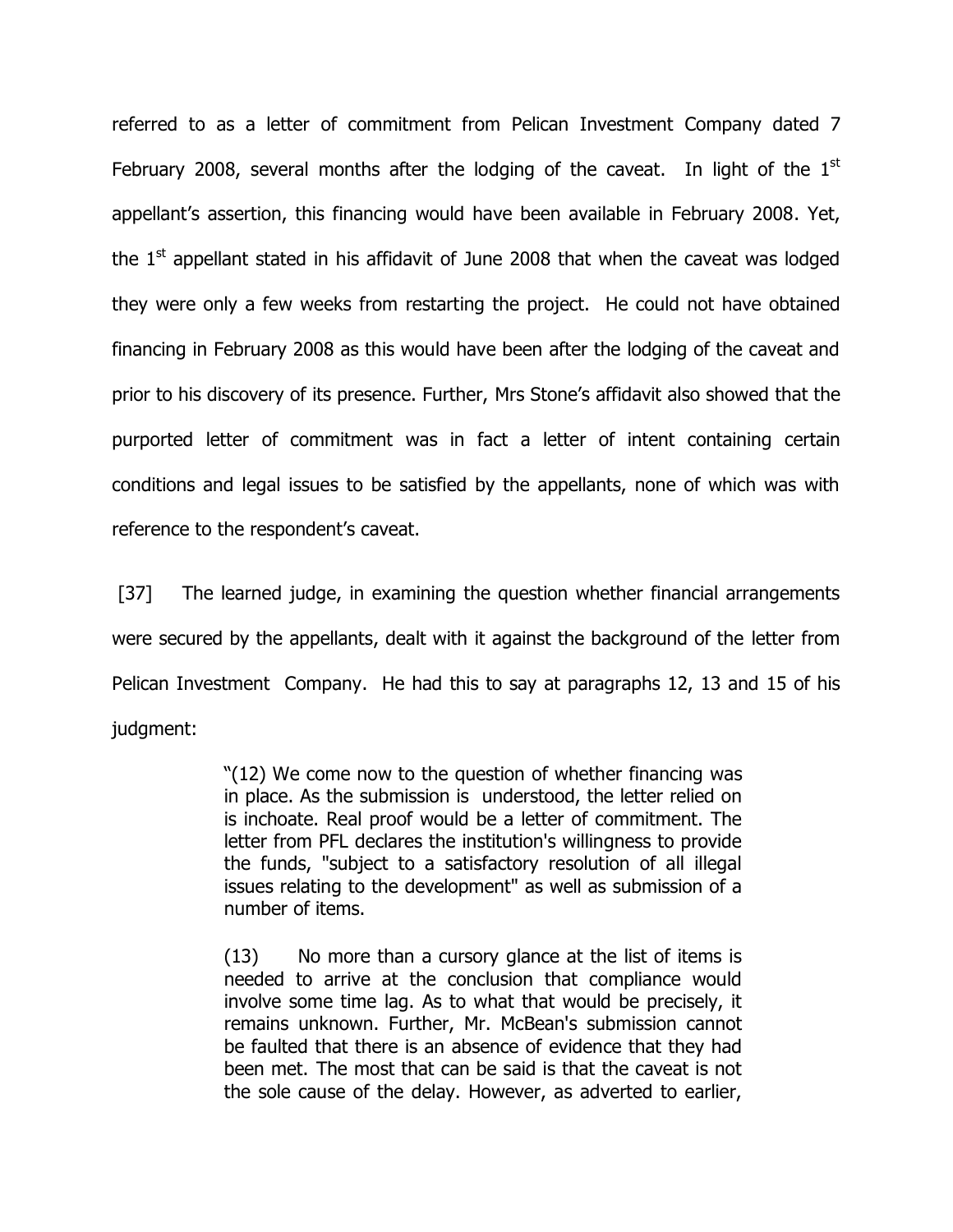referred to as a letter of commitment from Pelican Investment Company dated 7 February 2008, several months after the lodging of the caveat. In light of the  $1<sup>st</sup>$ appellant's assertion, this financing would have been available in February 2008. Yet, the  $1<sup>st</sup>$  appellant stated in his affidavit of June 2008 that when the caveat was lodged they were only a few weeks from restarting the project. He could not have obtained financing in February 2008 as this would have been after the lodging of the caveat and prior to his discovery of its presence. Further, Mrs Stone's affidavit also showed that the purported letter of commitment was in fact a letter of intent containing certain conditions and legal issues to be satisfied by the appellants, none of which was with reference to the respondent's caveat.

[37] The learned judge, in examining the question whether financial arrangements were secured by the appellants, dealt with it against the background of the letter from Pelican Investment Company. He had this to say at paragraphs 12, 13 and 15 of his judgment:

> "(12) We come now to the question of whether financing was in place. As the submission is understood, the letter relied on is inchoate. Real proof would be a letter of commitment. The letter from PFL declares the institution's willingness to provide the funds, "subject to a satisfactory resolution of all illegal issues relating to the development" as well as submission of a number of items.

> (13) No more than a cursory glance at the list of items is needed to arrive at the conclusion that compliance would involve some time lag. As to what that would be precisely, it remains unknown. Further, Mr. McBean's submission cannot be faulted that there is an absence of evidence that they had been met. The most that can be said is that the caveat is not the sole cause of the delay. However, as adverted to earlier,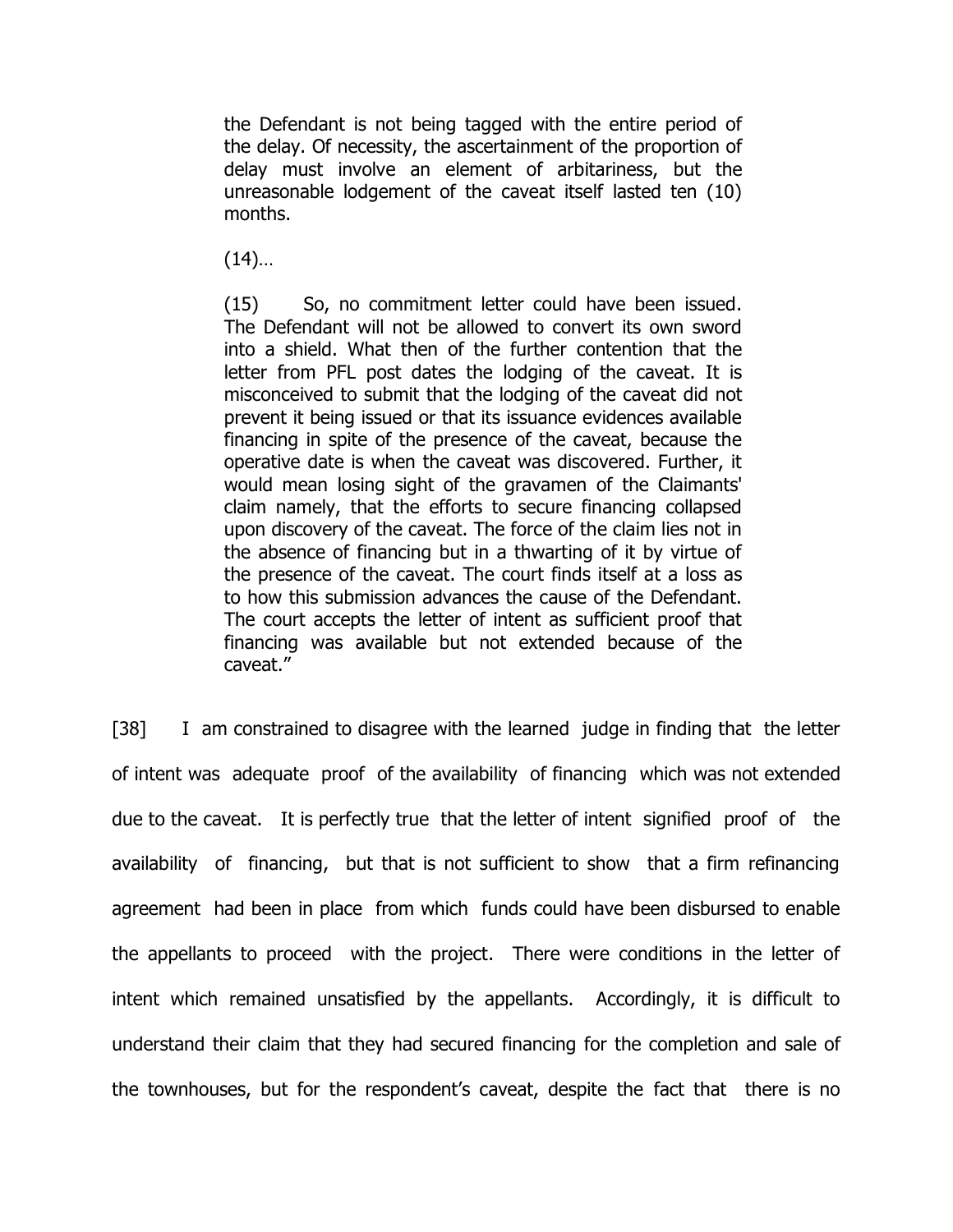the Defendant is not being tagged with the entire period of the delay. Of necessity, the ascertainment of the proportion of delay must involve an element of arbitariness, but the unreasonable lodgement of the caveat itself lasted ten (10) months.

 $(14)$ …

(15) So, no commitment letter could have been issued. The Defendant will not be allowed to convert its own sword into a shield. What then of the further contention that the letter from PFL post dates the lodging of the caveat. It is misconceived to submit that the lodging of the caveat did not prevent it being issued or that its issuance evidences available financing in spite of the presence of the caveat, because the operative date is when the caveat was discovered. Further, it would mean losing sight of the gravamen of the Claimants' claim namely, that the efforts to secure financing collapsed upon discovery of the caveat. The force of the claim lies not in the absence of financing but in a thwarting of it by virtue of the presence of the caveat. The court finds itself at a loss as to how this submission advances the cause of the Defendant. The court accepts the letter of intent as sufficient proof that financing was available but not extended because of the caveat."

[38] I am constrained to disagree with the learned judge in finding that the letter of intent was adequate proof of the availability of financing which was not extended due to the caveat. It is perfectly true that the letter of intent signified proof of the availability of financing, but that is not sufficient to show that a firm refinancing agreement had been in place from which funds could have been disbursed to enable the appellants to proceed with the project. There were conditions in the letter of intent which remained unsatisfied by the appellants. Accordingly, it is difficult to understand their claim that they had secured financing for the completion and sale of the townhouses, but for the respondent's caveat, despite the fact that there is no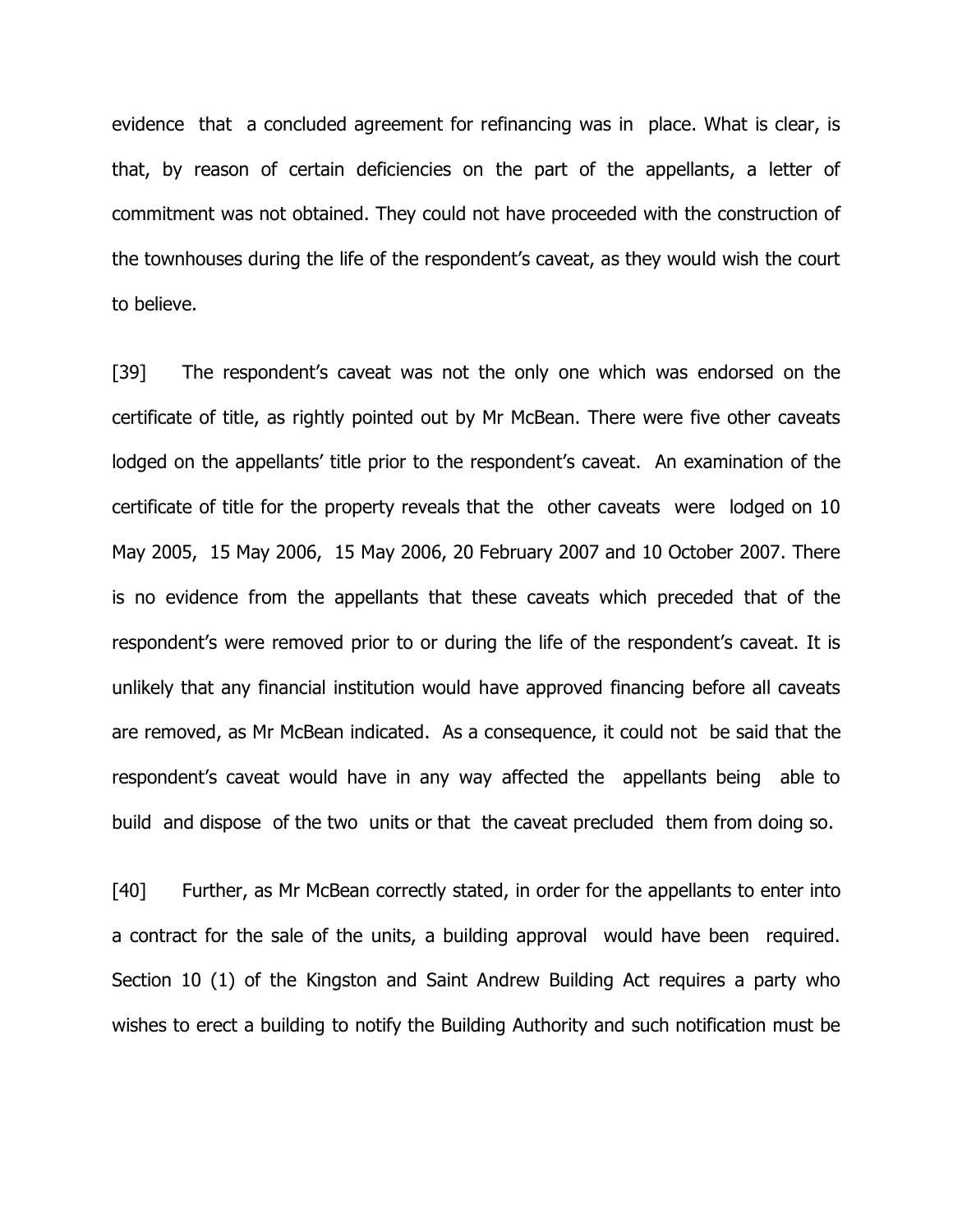evidence that a concluded agreement for refinancing was in place. What is clear, is that, by reason of certain deficiencies on the part of the appellants, a letter of commitment was not obtained. They could not have proceeded with the construction of the townhouses during the life of the respondent's caveat, as they would wish the court to believe.

[39] The respondent's caveat was not the only one which was endorsed on the certificate of title, as rightly pointed out by Mr McBean. There were five other caveats lodged on the appellants' title prior to the respondent's caveat. An examination of the certificate of title for the property reveals that the other caveats were lodged on 10 May 2005, 15 May 2006, 15 May 2006, 20 February 2007 and 10 October 2007. There is no evidence from the appellants that these caveats which preceded that of the respondent's were removed prior to or during the life of the respondent's caveat. It is unlikely that any financial institution would have approved financing before all caveats are removed, as Mr McBean indicated. As a consequence, it could not be said that the respondent's caveat would have in any way affected the appellants being able to build and dispose of the two units or that the caveat precluded them from doing so.

[40] Further, as Mr McBean correctly stated, in order for the appellants to enter into a contract for the sale of the units, a building approval would have been required. Section 10 (1) of the Kingston and Saint Andrew Building Act requires a party who wishes to erect a building to notify the Building Authority and such notification must be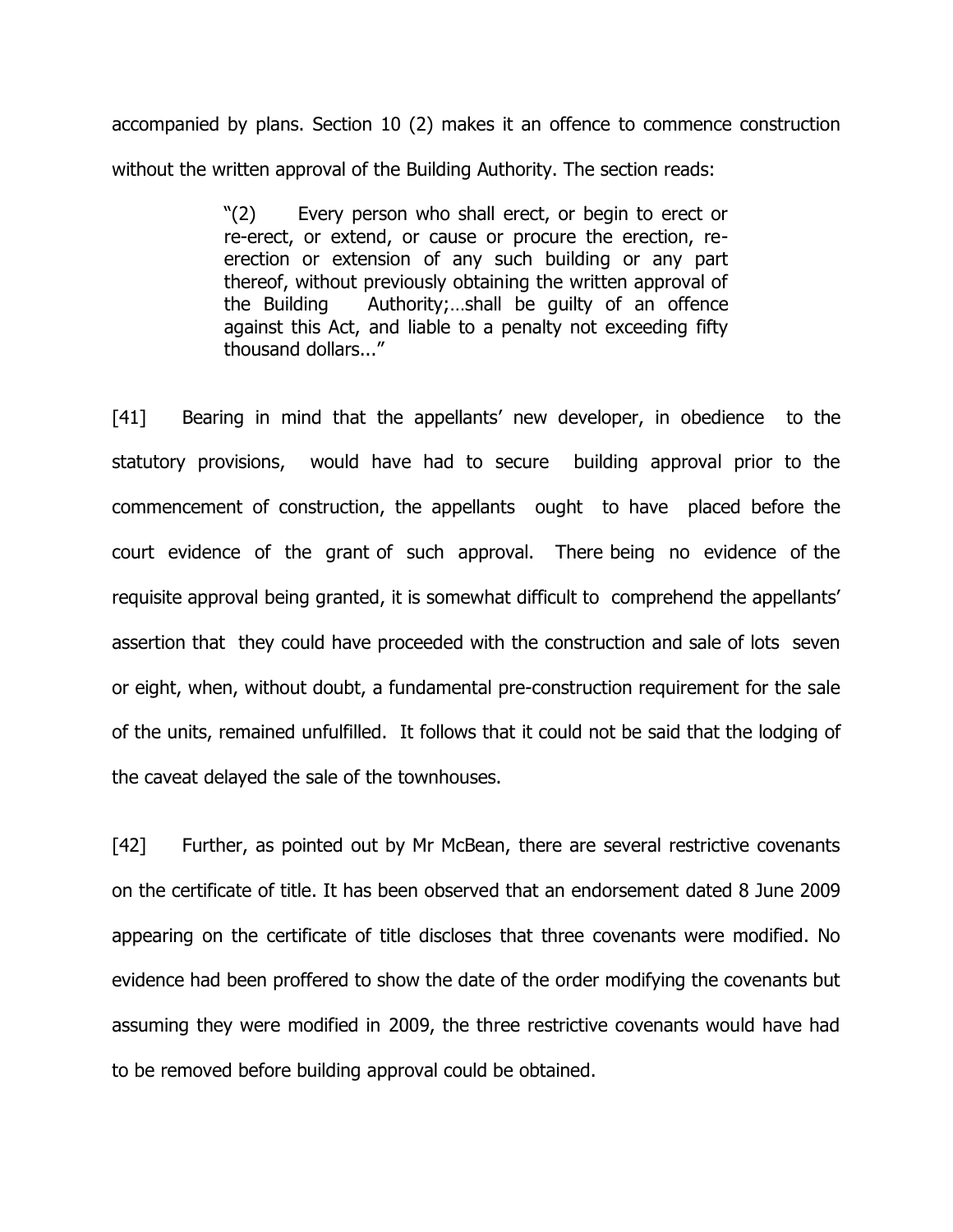accompanied by plans. Section 10 (2) makes it an offence to commence construction without the written approval of the Building Authority. The section reads:

> "(2) Every person who shall erect, or begin to erect or re-erect, or extend, or cause or procure the erection, reerection or extension of any such building or any part thereof, without previously obtaining the written approval of the Building Authority;…shall be guilty of an offence against this Act, and liable to a penalty not exceeding fifty thousand dollars..."

[41] Bearing in mind that the appellants' new developer, in obedience to the statutory provisions, would have had to secure building approval prior to the commencement of construction, the appellants ought to have placed before the court evidence of the grant of such approval. There being no evidence of the requisite approval being granted, it is somewhat difficult to comprehend the appellants' assertion that they could have proceeded with the construction and sale of lots seven or eight, when, without doubt, a fundamental pre-construction requirement for the sale of the units, remained unfulfilled. It follows that it could not be said that the lodging of the caveat delayed the sale of the townhouses.

[42] Further, as pointed out by Mr McBean, there are several restrictive covenants on the certificate of title. It has been observed that an endorsement dated 8 June 2009 appearing on the certificate of title discloses that three covenants were modified. No evidence had been proffered to show the date of the order modifying the covenants but assuming they were modified in 2009, the three restrictive covenants would have had to be removed before building approval could be obtained.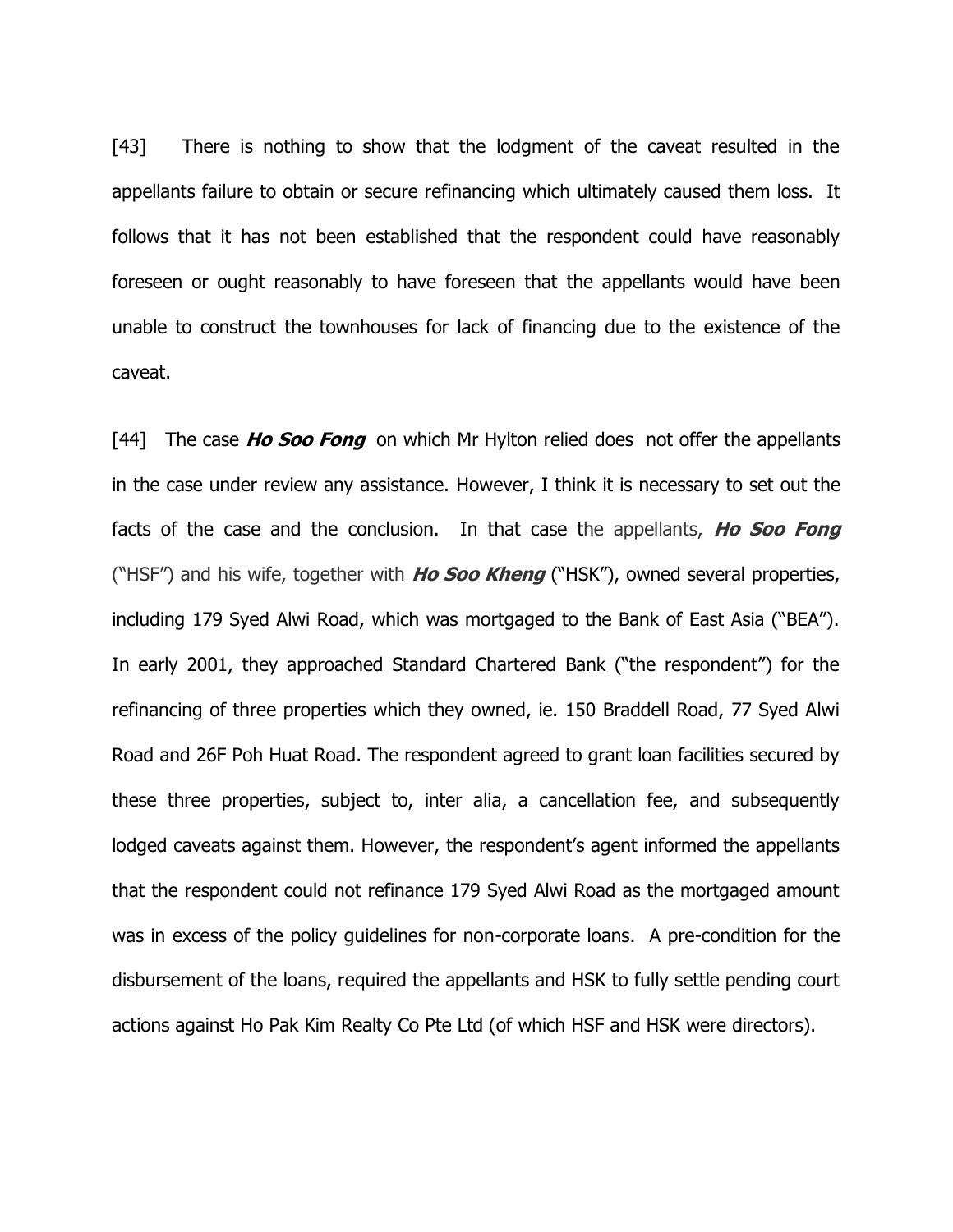[43] There is nothing to show that the lodgment of the caveat resulted in the appellants failure to obtain or secure refinancing which ultimately caused them loss. It follows that it has not been established that the respondent could have reasonably foreseen or ought reasonably to have foreseen that the appellants would have been unable to construct the townhouses for lack of financing due to the existence of the caveat.

[44] The case **Ho Soo Fong** on which Mr Hylton relied does not offer the appellants in the case under review any assistance. However, I think it is necessary to set out the facts of the case and the conclusion. In that case the appellants, **Ho Soo Fong** ("HSF") and his wife, together with **Ho Soo Kheng** ("HSK"), owned several properties, including 179 Syed Alwi Road, which was mortgaged to the Bank of East Asia ("BEA"). In early 2001, they approached Standard Chartered Bank ("the respondent") for the refinancing of three properties which they owned, ie. 150 Braddell Road, 77 Syed Alwi Road and 26F Poh Huat Road. The respondent agreed to grant loan facilities secured by these three properties, subject to, inter alia, a cancellation fee, and subsequently lodged caveats against them. However, the respondent's agent informed the appellants that the respondent could not refinance 179 Syed Alwi Road as the mortgaged amount was in excess of the policy guidelines for non-corporate loans. A pre-condition for the disbursement of the loans, required the appellants and HSK to fully settle pending court actions against Ho Pak Kim Realty Co Pte Ltd (of which HSF and HSK were directors).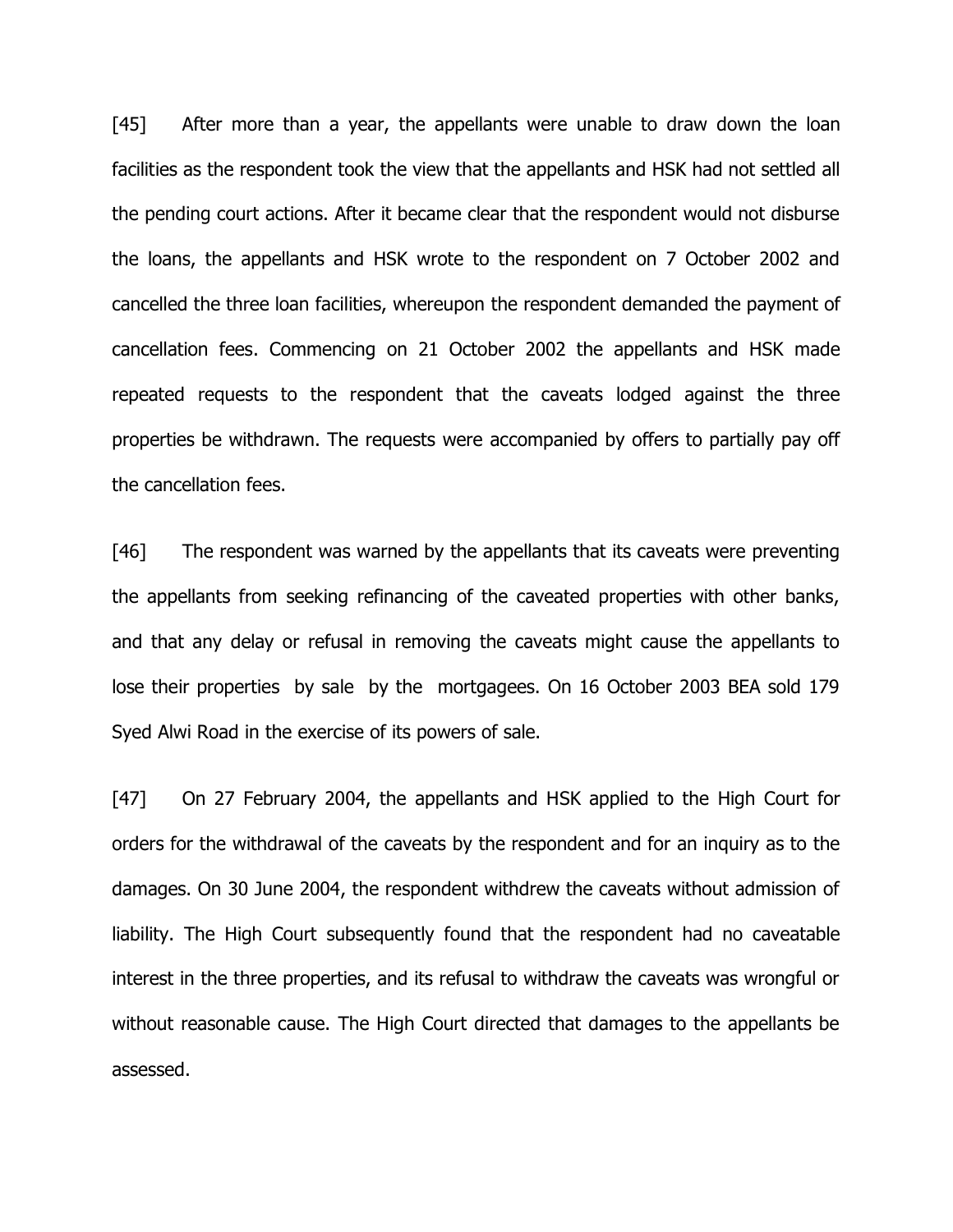[45] After more than a year, the appellants were unable to draw down the loan facilities as the respondent took the view that the appellants and HSK had not settled all the pending court actions. After it became clear that the respondent would not disburse the loans, the appellants and HSK wrote to the respondent on 7 October 2002 and cancelled the three loan facilities, whereupon the respondent demanded the payment of cancellation fees. Commencing on 21 October 2002 the appellants and HSK made repeated requests to the respondent that the caveats lodged against the three properties be withdrawn. The requests were accompanied by offers to partially pay off the cancellation fees.

[46] The respondent was warned by the appellants that its caveats were preventing the appellants from seeking refinancing of the caveated properties with other banks, and that any delay or refusal in removing the caveats might cause the appellants to lose their properties by sale by the mortgagees. On 16 October 2003 BEA sold 179 Syed Alwi Road in the exercise of its powers of sale.

[47] On 27 February 2004, the appellants and HSK applied to the High Court for orders for the withdrawal of the caveats by the respondent and for an inquiry as to the damages. On 30 June 2004, the respondent withdrew the caveats without admission of liability. The High Court subsequently found that the respondent had no caveatable interest in the three properties, and its refusal to withdraw the caveats was wrongful or without reasonable cause. The High Court directed that damages to the appellants be assessed.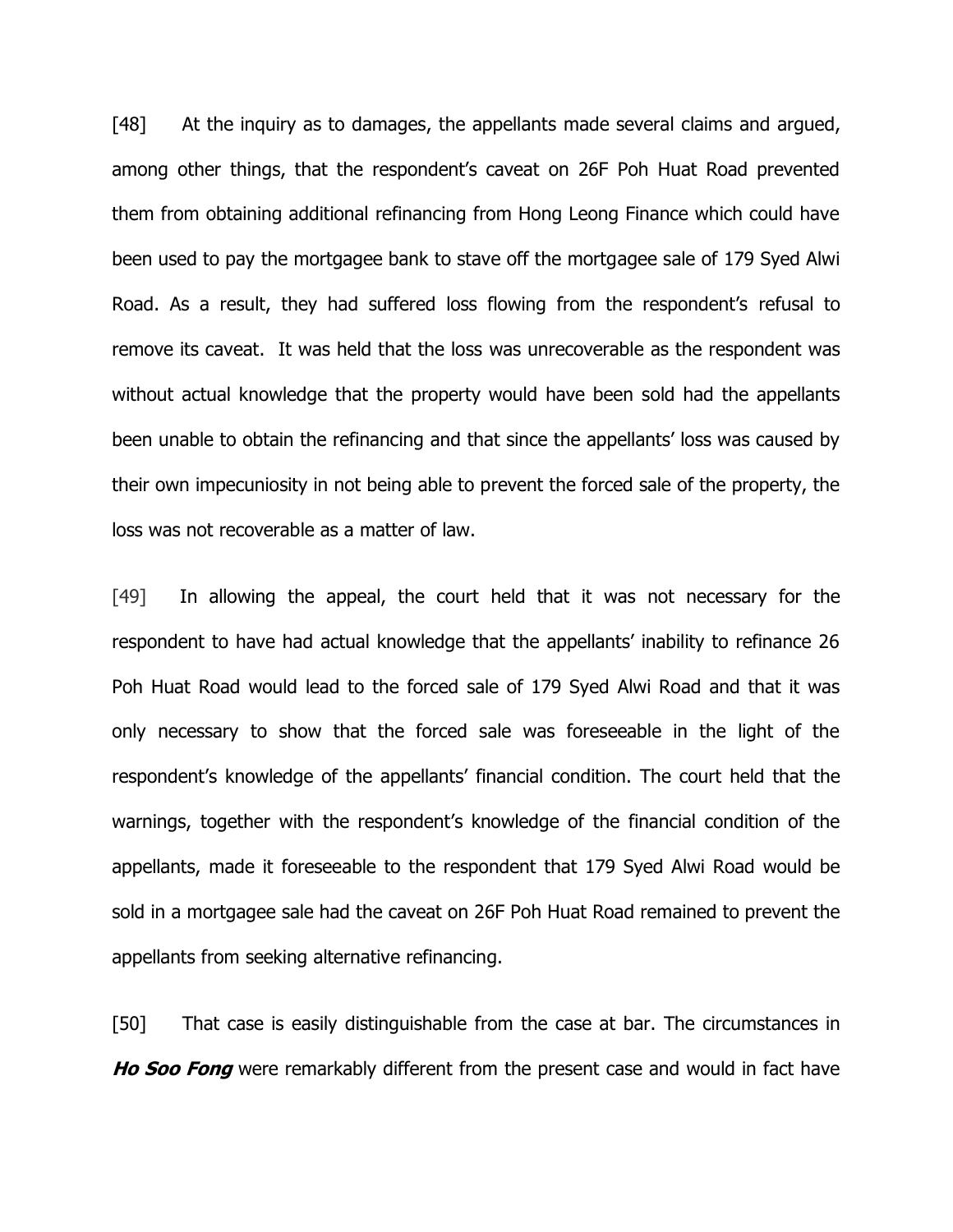[48] At the inquiry as to damages, the appellants made several claims and argued, among other things, that the respondent's caveat on 26F Poh Huat Road prevented them from obtaining additional refinancing from Hong Leong Finance which could have been used to pay the mortgagee bank to stave off the mortgagee sale of 179 Syed Alwi Road. As a result, they had suffered loss flowing from the respondent's refusal to remove its caveat. It was held that the loss was unrecoverable as the respondent was without actual knowledge that the property would have been sold had the appellants been unable to obtain the refinancing and that since the appellants' loss was caused by their own impecuniosity in not being able to prevent the forced sale of the property, the loss was not recoverable as a matter of law.

[49] In allowing the appeal, the court held that it was not necessary for the respondent to have had actual knowledge that the appellants' inability to refinance 26 Poh Huat Road would lead to the forced sale of 179 Syed Alwi Road and that it was only necessary to show that the forced sale was foreseeable in the light of the respondent's knowledge of the appellants' financial condition. The court held that the warnings, together with the respondent's knowledge of the financial condition of the appellants, made it foreseeable to the respondent that 179 Syed Alwi Road would be sold in a mortgagee sale had the caveat on 26F Poh Huat Road remained to prevent the appellants from seeking alternative refinancing.

[50] That case is easily distinguishable from the case at bar. The circumstances in **Ho Soo Fong** were remarkably different from the present case and would in fact have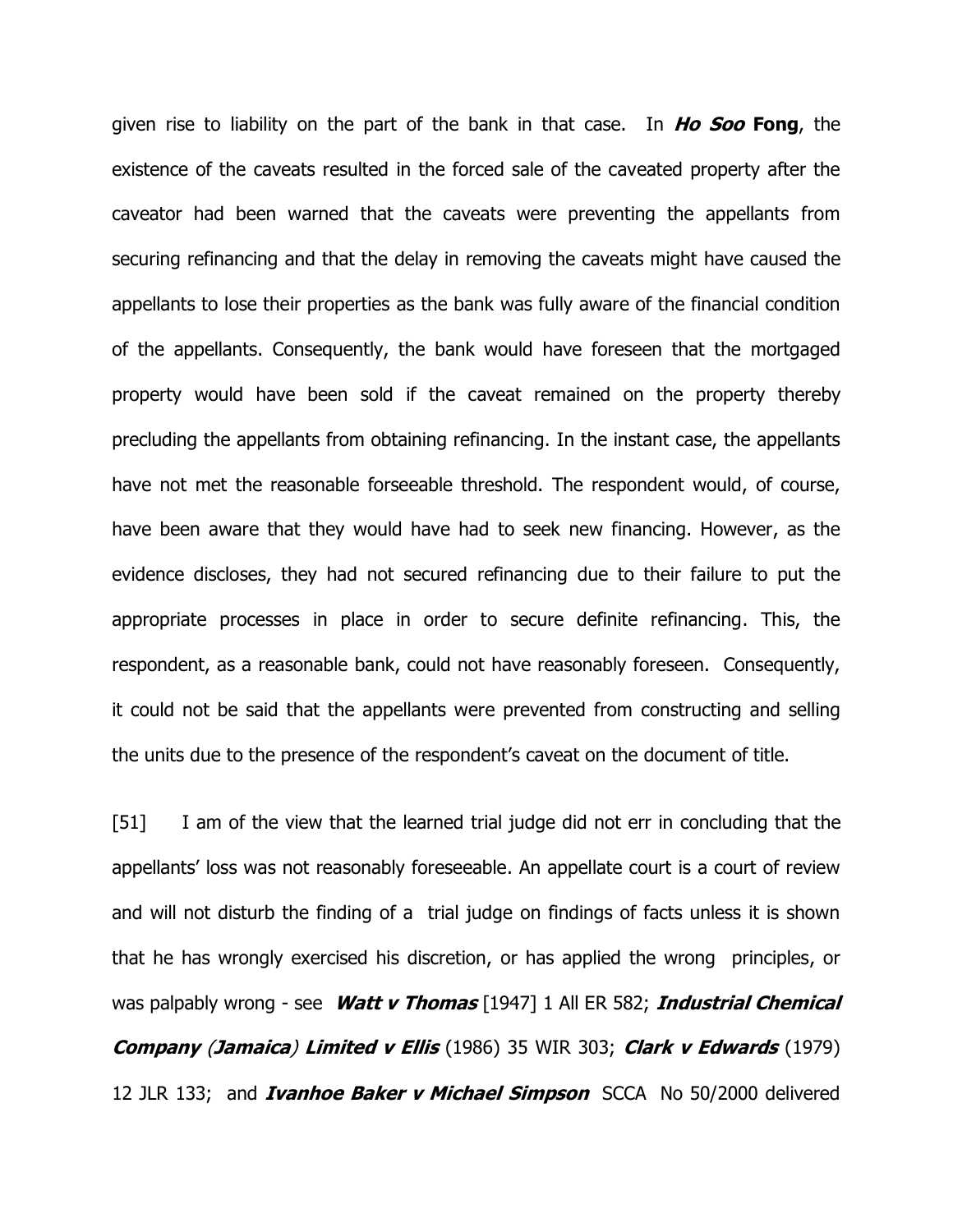given rise to liability on the part of the bank in that case. In **Ho Soo Fong**, the existence of the caveats resulted in the forced sale of the caveated property after the caveator had been warned that the caveats were preventing the appellants from securing refinancing and that the delay in removing the caveats might have caused the appellants to lose their properties as the bank was fully aware of the financial condition of the appellants. Consequently, the bank would have foreseen that the mortgaged property would have been sold if the caveat remained on the property thereby precluding the appellants from obtaining refinancing. In the instant case, the appellants have not met the reasonable forseeable threshold. The respondent would, of course, have been aware that they would have had to seek new financing. However, as the evidence discloses, they had not secured refinancing due to their failure to put the appropriate processes in place in order to secure definite refinancing. This, the respondent, as a reasonable bank, could not have reasonably foreseen. Consequently, it could not be said that the appellants were prevented from constructing and selling the units due to the presence of the respondent's caveat on the document of title.

[51] I am of the view that the learned trial judge did not err in concluding that the appellants' loss was not reasonably foreseeable. An appellate court is a court of review and will not disturb the finding of a trial judge on findings of facts unless it is shown that he has wrongly exercised his discretion, or has applied the wrong principles, or was palpably wrong - see **Watt v Thomas** [1947] 1 All ER 582; **Industrial Chemical Company** (**Jamaica**) **Limited v Ellis** (1986) 35 WIR 303; **Clark v Edwards** (1979) 12 JLR 133; and **Ivanhoe Baker v Michael Simpson** SCCA No 50/2000 delivered